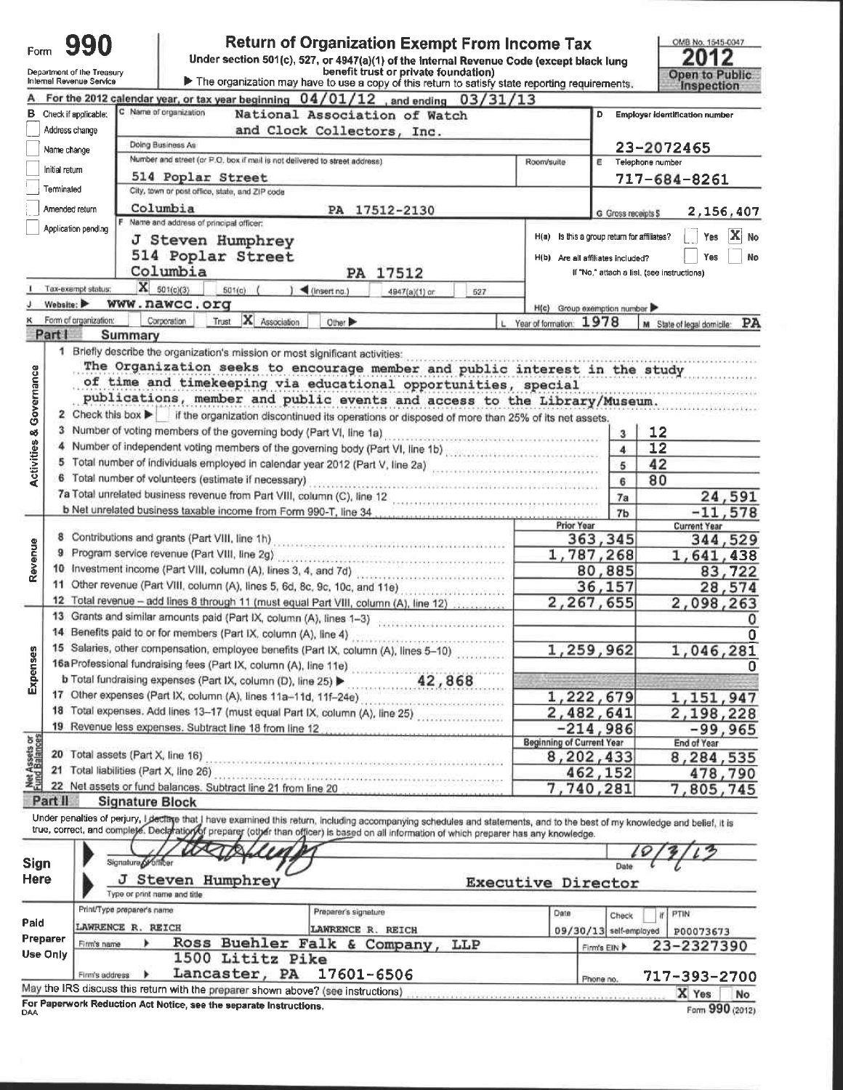| Under section 501(c), 527, or 4947(a)(1) of the internal Revenue Code (except black lung<br>benefit trust or private foundation)<br>Department of the Treasury<br>The organization may have to use a copy of this return to satisfy state reporting requirements.<br>Internal Revenue Service<br>Inspection<br>For the 2012 calendar year, or tax year beginning $04/01/12$ , and ending<br>03/31/13<br>Name of organization<br>с<br>Check if applicable:<br>National Association of Watch<br>в<br>Employer identification number<br>Address change<br>and Clock Collectors, Inc.<br>Doing Business As<br>23-2072465<br>Name change<br>Number and street (or P.O. box if mail is not delivered to street address).<br>Room/suite<br>Ε<br>Telephone number<br>Initial return<br>514 Poplar Street<br>717-684-8261<br>Terminated<br>City, town or post office, state, and ZIP code<br>Columbia<br>Amended return<br>PA 17512-2130<br>G Gross receipts S<br>F Name and address of principal officer:<br>Application pending<br>X<br>H(a) Is this a group return for affiliates?<br>Yes<br>J Steven Humphrey<br>514 Poplar Street<br>Yes<br>H(b) Are all affiliates included?<br>Columbia<br>PA 17512<br>If "No," attach a list, (see instructions)<br>$X = 501(c)(3)$<br>Tax-exempt status:<br>$501(c)$ (<br>$)$ (insert no.)<br>4947(a)(1) or<br>527<br>Website:<br>www.nawcc.org<br>H(c) Group exemption number<br>X Association<br>Form of organization:<br>Corporation<br>Trust<br>Other ><br>Year of formation: 1978<br>M State of legal domicile: PA<br>Part I<br>Summary<br>1 Briefly describe the organization's mission or most significant activities:<br>The Organization seeks to encourage member and public interest in the study<br><b>Activities &amp; Governance</b><br>of time and timekeeping via educational opportunities, special<br>publications, member and public events and access to the Library/Museum.<br>2 Check this box > if the organization discontinued its operations or disposed of more than 25% of its net assets.<br>3 Number of voting members of the governing body (Part VI, line 1a)<br>12<br>3<br>4 Number of independent voting members of the governing body (Part VI, line 1b)<br>12<br>4<br>5 Total number of individuals employed in calendar year 2012 (Part V, line 2a)<br>42<br>5<br>6 Total number of volunteers (estimate if necessary)<br>80<br>6<br>24,591<br>7a<br>b Net unrelated business taxable income from Form 990-T, line 34<br>$-11,578$<br>7b<br>Prior Year<br><b>Current Year</b><br>8 Contributions and grants (Part VIII, line 1h)<br>363,345<br>344,529<br>Revenue<br>9 Program service revenue (Part VIII, line 2g) [11] reserves and contained a service of the Program service of<br>1,787,268<br>1,641,438<br>10 Investment income (Part VIII, column (A), lines 3, 4, and 7d)<br>80,885<br>83,722<br>11 Other revenue (Part VIII, column (A), lines 5, 6d, 8c, 9c, 10c, and 11e)<br>36,157<br>12 Total revenue - add lines 8 through 11 (must equal Part VIII, column (A), line 12)<br>2,267,655<br>13 Grants and similar amounts paid (Part IX, column (A), lines 1-3)<br>1,259,962<br>15 Salaries, other compensation, employee benefits (Part IX, column (A), lines 5-10)<br>1,046,281<br>Expenses<br>16a Professional fundraising fees (Part IX, column (A), line 11e)<br>42,868<br>b Total fundraising expenses (Part IX, column (D), line 25)<br>17 Other expenses (Part IX, column (A), lines 11a-11d, 11f-24e)<br>1,222,679<br>1,151,947<br>18 Total expenses. Add lines 13-17 (must equal Part IX, column (A), line 25)<br>2,482,641<br>2,198,228<br>19 Revenue less expenses. Subtract line 18 from line 12<br>$-214,986$<br>$-99,965$<br>Net Assets or<br>Fund Balances<br><b>Beginning of Current Year</b><br>End of Year<br>20 Total assets (Part X, line 16)<br>8,202,433<br>8,284,535<br>The contract contract in the product of the contract of a series of a state of the state of the state of the state of the state of the state of the state of the state of the state of the state of the state of the state of<br>21 Total liabilities (Part X, line 26)<br>462,152<br>478,790<br>22 Net assets or fund balances. Subtract line 21 from line 20<br>7,740,281<br>Part II<br><b>Signature Block</b><br>Under penalties of perjury, I declare that I have examined this return, including accompanying schedules and statements, and to the best of my knowledge and belief, it is<br>true, correct, and complete. Declaration of preparer (other than officer) is based on all information of which preparer has any knowledge.<br>Signature of utiliber<br><b>Sign</b><br>Date<br><b>Here</b><br>J<br>Steven Humphrey<br><b>Executive Director</b><br>Type or print name and title<br>Print/Type preparer's name<br>Preparer's signature<br>Date<br>PTIN<br>Check<br>Ħ<br>LAWRENCE R. REICH<br>LAWRENCE R. REICH<br>$09/30/13$ self-employed<br>P00073673<br>Preparer<br>Ross Buehler Falk & Company,<br>LLP<br>Firm's name<br>23-2327390<br>Firm's EIN<br>Use Only<br>1500 Lititz Pike<br>Lancaster, PA<br>17601-6506<br>Firm's address<br>717-393-2700<br>Phone no.<br>May the IRS discuss this return with the preparer shown above? (see instructions)<br>X Yes<br>No. | Form | 990 |                                                                    | <b>Return of Organization Exempt From Income Tax</b> |  | OMB No. 1545-0047 |
|---------------------------------------------------------------------------------------------------------------------------------------------------------------------------------------------------------------------------------------------------------------------------------------------------------------------------------------------------------------------------------------------------------------------------------------------------------------------------------------------------------------------------------------------------------------------------------------------------------------------------------------------------------------------------------------------------------------------------------------------------------------------------------------------------------------------------------------------------------------------------------------------------------------------------------------------------------------------------------------------------------------------------------------------------------------------------------------------------------------------------------------------------------------------------------------------------------------------------------------------------------------------------------------------------------------------------------------------------------------------------------------------------------------------------------------------------------------------------------------------------------------------------------------------------------------------------------------------------------------------------------------------------------------------------------------------------------------------------------------------------------------------------------------------------------------------------------------------------------------------------------------------------------------------------------------------------------------------------------------------------------------------------------------------------------------------------------------------------------------------------------------------------------------------------------------------------------------------------------------------------------------------------------------------------------------------------------------------------------------------------------------------------------------------------------------------------------------------------------------------------------------------------------------------------------------------------------------------------------------------------------------------------------------------------------------------------------------------------------------------------------------------------------------------------------------------------------------------------------------------------------------------------------------------------------------------------------------------------------------------------------------------------------------------------------------------------------------------------------------------------------------------------------------------------------------------------------------------------------------------------------------------------------------------------------------------------------------------------------------------------------------------------------------------------------------------------------------------------------------------------------------------------------------------------------------------------------------------------------------------------------------------------------------------------------------------------------------------------------------------------------------------------------------------------------------------------------------------------------------------------------------------------------------------------------------------------------------------------------------------------------------------------------------------------------------------------------------------------------------------------------------------------------------------------------------------------------------------------------------------------------------------------------------------------------------------------------------------------------------------------------------------------------------------------------------------------------------------------------------------------------------------------------------------------------------------------------------------------------------------------------------------------------------------------------------------------------------------------------------------------------------------------------------------------------------------------------------------------------------------------------------------------------------------------------------------------------------------------------------------------------------------------------------------------------------------------------------------------------------------------------------------------------------------------------------------------------------------------------------------------------------------------|------|-----|--------------------------------------------------------------------|------------------------------------------------------|--|-------------------|
|                                                                                                                                                                                                                                                                                                                                                                                                                                                                                                                                                                                                                                                                                                                                                                                                                                                                                                                                                                                                                                                                                                                                                                                                                                                                                                                                                                                                                                                                                                                                                                                                                                                                                                                                                                                                                                                                                                                                                                                                                                                                                                                                                                                                                                                                                                                                                                                                                                                                                                                                                                                                                                                                                                                                                                                                                                                                                                                                                                                                                                                                                                                                                                                                                                                                                                                                                                                                                                                                                                                                                                                                                                                                                                                                                                                                                                                                                                                                                                                                                                                                                                                                                                                                                                                                                                                                                                                                                                                                                                                                                                                                                                                                                                                                                                                                                                                                                                                                                                                                                                                                                                                                                                                                                                                                           |      |     |                                                                    |                                                      |  | Open to Public.   |
|                                                                                                                                                                                                                                                                                                                                                                                                                                                                                                                                                                                                                                                                                                                                                                                                                                                                                                                                                                                                                                                                                                                                                                                                                                                                                                                                                                                                                                                                                                                                                                                                                                                                                                                                                                                                                                                                                                                                                                                                                                                                                                                                                                                                                                                                                                                                                                                                                                                                                                                                                                                                                                                                                                                                                                                                                                                                                                                                                                                                                                                                                                                                                                                                                                                                                                                                                                                                                                                                                                                                                                                                                                                                                                                                                                                                                                                                                                                                                                                                                                                                                                                                                                                                                                                                                                                                                                                                                                                                                                                                                                                                                                                                                                                                                                                                                                                                                                                                                                                                                                                                                                                                                                                                                                                                           |      |     |                                                                    |                                                      |  |                   |
|                                                                                                                                                                                                                                                                                                                                                                                                                                                                                                                                                                                                                                                                                                                                                                                                                                                                                                                                                                                                                                                                                                                                                                                                                                                                                                                                                                                                                                                                                                                                                                                                                                                                                                                                                                                                                                                                                                                                                                                                                                                                                                                                                                                                                                                                                                                                                                                                                                                                                                                                                                                                                                                                                                                                                                                                                                                                                                                                                                                                                                                                                                                                                                                                                                                                                                                                                                                                                                                                                                                                                                                                                                                                                                                                                                                                                                                                                                                                                                                                                                                                                                                                                                                                                                                                                                                                                                                                                                                                                                                                                                                                                                                                                                                                                                                                                                                                                                                                                                                                                                                                                                                                                                                                                                                                           |      |     |                                                                    |                                                      |  |                   |
|                                                                                                                                                                                                                                                                                                                                                                                                                                                                                                                                                                                                                                                                                                                                                                                                                                                                                                                                                                                                                                                                                                                                                                                                                                                                                                                                                                                                                                                                                                                                                                                                                                                                                                                                                                                                                                                                                                                                                                                                                                                                                                                                                                                                                                                                                                                                                                                                                                                                                                                                                                                                                                                                                                                                                                                                                                                                                                                                                                                                                                                                                                                                                                                                                                                                                                                                                                                                                                                                                                                                                                                                                                                                                                                                                                                                                                                                                                                                                                                                                                                                                                                                                                                                                                                                                                                                                                                                                                                                                                                                                                                                                                                                                                                                                                                                                                                                                                                                                                                                                                                                                                                                                                                                                                                                           |      |     |                                                                    |                                                      |  |                   |
|                                                                                                                                                                                                                                                                                                                                                                                                                                                                                                                                                                                                                                                                                                                                                                                                                                                                                                                                                                                                                                                                                                                                                                                                                                                                                                                                                                                                                                                                                                                                                                                                                                                                                                                                                                                                                                                                                                                                                                                                                                                                                                                                                                                                                                                                                                                                                                                                                                                                                                                                                                                                                                                                                                                                                                                                                                                                                                                                                                                                                                                                                                                                                                                                                                                                                                                                                                                                                                                                                                                                                                                                                                                                                                                                                                                                                                                                                                                                                                                                                                                                                                                                                                                                                                                                                                                                                                                                                                                                                                                                                                                                                                                                                                                                                                                                                                                                                                                                                                                                                                                                                                                                                                                                                                                                           |      |     |                                                                    |                                                      |  |                   |
|                                                                                                                                                                                                                                                                                                                                                                                                                                                                                                                                                                                                                                                                                                                                                                                                                                                                                                                                                                                                                                                                                                                                                                                                                                                                                                                                                                                                                                                                                                                                                                                                                                                                                                                                                                                                                                                                                                                                                                                                                                                                                                                                                                                                                                                                                                                                                                                                                                                                                                                                                                                                                                                                                                                                                                                                                                                                                                                                                                                                                                                                                                                                                                                                                                                                                                                                                                                                                                                                                                                                                                                                                                                                                                                                                                                                                                                                                                                                                                                                                                                                                                                                                                                                                                                                                                                                                                                                                                                                                                                                                                                                                                                                                                                                                                                                                                                                                                                                                                                                                                                                                                                                                                                                                                                                           |      |     |                                                                    |                                                      |  |                   |
|                                                                                                                                                                                                                                                                                                                                                                                                                                                                                                                                                                                                                                                                                                                                                                                                                                                                                                                                                                                                                                                                                                                                                                                                                                                                                                                                                                                                                                                                                                                                                                                                                                                                                                                                                                                                                                                                                                                                                                                                                                                                                                                                                                                                                                                                                                                                                                                                                                                                                                                                                                                                                                                                                                                                                                                                                                                                                                                                                                                                                                                                                                                                                                                                                                                                                                                                                                                                                                                                                                                                                                                                                                                                                                                                                                                                                                                                                                                                                                                                                                                                                                                                                                                                                                                                                                                                                                                                                                                                                                                                                                                                                                                                                                                                                                                                                                                                                                                                                                                                                                                                                                                                                                                                                                                                           |      |     |                                                                    |                                                      |  |                   |
|                                                                                                                                                                                                                                                                                                                                                                                                                                                                                                                                                                                                                                                                                                                                                                                                                                                                                                                                                                                                                                                                                                                                                                                                                                                                                                                                                                                                                                                                                                                                                                                                                                                                                                                                                                                                                                                                                                                                                                                                                                                                                                                                                                                                                                                                                                                                                                                                                                                                                                                                                                                                                                                                                                                                                                                                                                                                                                                                                                                                                                                                                                                                                                                                                                                                                                                                                                                                                                                                                                                                                                                                                                                                                                                                                                                                                                                                                                                                                                                                                                                                                                                                                                                                                                                                                                                                                                                                                                                                                                                                                                                                                                                                                                                                                                                                                                                                                                                                                                                                                                                                                                                                                                                                                                                                           |      |     |                                                                    |                                                      |  |                   |
|                                                                                                                                                                                                                                                                                                                                                                                                                                                                                                                                                                                                                                                                                                                                                                                                                                                                                                                                                                                                                                                                                                                                                                                                                                                                                                                                                                                                                                                                                                                                                                                                                                                                                                                                                                                                                                                                                                                                                                                                                                                                                                                                                                                                                                                                                                                                                                                                                                                                                                                                                                                                                                                                                                                                                                                                                                                                                                                                                                                                                                                                                                                                                                                                                                                                                                                                                                                                                                                                                                                                                                                                                                                                                                                                                                                                                                                                                                                                                                                                                                                                                                                                                                                                                                                                                                                                                                                                                                                                                                                                                                                                                                                                                                                                                                                                                                                                                                                                                                                                                                                                                                                                                                                                                                                                           |      |     |                                                                    |                                                      |  | 2,156,407         |
|                                                                                                                                                                                                                                                                                                                                                                                                                                                                                                                                                                                                                                                                                                                                                                                                                                                                                                                                                                                                                                                                                                                                                                                                                                                                                                                                                                                                                                                                                                                                                                                                                                                                                                                                                                                                                                                                                                                                                                                                                                                                                                                                                                                                                                                                                                                                                                                                                                                                                                                                                                                                                                                                                                                                                                                                                                                                                                                                                                                                                                                                                                                                                                                                                                                                                                                                                                                                                                                                                                                                                                                                                                                                                                                                                                                                                                                                                                                                                                                                                                                                                                                                                                                                                                                                                                                                                                                                                                                                                                                                                                                                                                                                                                                                                                                                                                                                                                                                                                                                                                                                                                                                                                                                                                                                           |      |     |                                                                    |                                                      |  |                   |
|                                                                                                                                                                                                                                                                                                                                                                                                                                                                                                                                                                                                                                                                                                                                                                                                                                                                                                                                                                                                                                                                                                                                                                                                                                                                                                                                                                                                                                                                                                                                                                                                                                                                                                                                                                                                                                                                                                                                                                                                                                                                                                                                                                                                                                                                                                                                                                                                                                                                                                                                                                                                                                                                                                                                                                                                                                                                                                                                                                                                                                                                                                                                                                                                                                                                                                                                                                                                                                                                                                                                                                                                                                                                                                                                                                                                                                                                                                                                                                                                                                                                                                                                                                                                                                                                                                                                                                                                                                                                                                                                                                                                                                                                                                                                                                                                                                                                                                                                                                                                                                                                                                                                                                                                                                                                           |      |     |                                                                    |                                                      |  | No                |
|                                                                                                                                                                                                                                                                                                                                                                                                                                                                                                                                                                                                                                                                                                                                                                                                                                                                                                                                                                                                                                                                                                                                                                                                                                                                                                                                                                                                                                                                                                                                                                                                                                                                                                                                                                                                                                                                                                                                                                                                                                                                                                                                                                                                                                                                                                                                                                                                                                                                                                                                                                                                                                                                                                                                                                                                                                                                                                                                                                                                                                                                                                                                                                                                                                                                                                                                                                                                                                                                                                                                                                                                                                                                                                                                                                                                                                                                                                                                                                                                                                                                                                                                                                                                                                                                                                                                                                                                                                                                                                                                                                                                                                                                                                                                                                                                                                                                                                                                                                                                                                                                                                                                                                                                                                                                           |      |     |                                                                    |                                                      |  | No                |
|                                                                                                                                                                                                                                                                                                                                                                                                                                                                                                                                                                                                                                                                                                                                                                                                                                                                                                                                                                                                                                                                                                                                                                                                                                                                                                                                                                                                                                                                                                                                                                                                                                                                                                                                                                                                                                                                                                                                                                                                                                                                                                                                                                                                                                                                                                                                                                                                                                                                                                                                                                                                                                                                                                                                                                                                                                                                                                                                                                                                                                                                                                                                                                                                                                                                                                                                                                                                                                                                                                                                                                                                                                                                                                                                                                                                                                                                                                                                                                                                                                                                                                                                                                                                                                                                                                                                                                                                                                                                                                                                                                                                                                                                                                                                                                                                                                                                                                                                                                                                                                                                                                                                                                                                                                                                           |      |     |                                                                    |                                                      |  |                   |
|                                                                                                                                                                                                                                                                                                                                                                                                                                                                                                                                                                                                                                                                                                                                                                                                                                                                                                                                                                                                                                                                                                                                                                                                                                                                                                                                                                                                                                                                                                                                                                                                                                                                                                                                                                                                                                                                                                                                                                                                                                                                                                                                                                                                                                                                                                                                                                                                                                                                                                                                                                                                                                                                                                                                                                                                                                                                                                                                                                                                                                                                                                                                                                                                                                                                                                                                                                                                                                                                                                                                                                                                                                                                                                                                                                                                                                                                                                                                                                                                                                                                                                                                                                                                                                                                                                                                                                                                                                                                                                                                                                                                                                                                                                                                                                                                                                                                                                                                                                                                                                                                                                                                                                                                                                                                           |      |     |                                                                    |                                                      |  |                   |
|                                                                                                                                                                                                                                                                                                                                                                                                                                                                                                                                                                                                                                                                                                                                                                                                                                                                                                                                                                                                                                                                                                                                                                                                                                                                                                                                                                                                                                                                                                                                                                                                                                                                                                                                                                                                                                                                                                                                                                                                                                                                                                                                                                                                                                                                                                                                                                                                                                                                                                                                                                                                                                                                                                                                                                                                                                                                                                                                                                                                                                                                                                                                                                                                                                                                                                                                                                                                                                                                                                                                                                                                                                                                                                                                                                                                                                                                                                                                                                                                                                                                                                                                                                                                                                                                                                                                                                                                                                                                                                                                                                                                                                                                                                                                                                                                                                                                                                                                                                                                                                                                                                                                                                                                                                                                           |      |     |                                                                    |                                                      |  |                   |
|                                                                                                                                                                                                                                                                                                                                                                                                                                                                                                                                                                                                                                                                                                                                                                                                                                                                                                                                                                                                                                                                                                                                                                                                                                                                                                                                                                                                                                                                                                                                                                                                                                                                                                                                                                                                                                                                                                                                                                                                                                                                                                                                                                                                                                                                                                                                                                                                                                                                                                                                                                                                                                                                                                                                                                                                                                                                                                                                                                                                                                                                                                                                                                                                                                                                                                                                                                                                                                                                                                                                                                                                                                                                                                                                                                                                                                                                                                                                                                                                                                                                                                                                                                                                                                                                                                                                                                                                                                                                                                                                                                                                                                                                                                                                                                                                                                                                                                                                                                                                                                                                                                                                                                                                                                                                           |      |     |                                                                    |                                                      |  |                   |
|                                                                                                                                                                                                                                                                                                                                                                                                                                                                                                                                                                                                                                                                                                                                                                                                                                                                                                                                                                                                                                                                                                                                                                                                                                                                                                                                                                                                                                                                                                                                                                                                                                                                                                                                                                                                                                                                                                                                                                                                                                                                                                                                                                                                                                                                                                                                                                                                                                                                                                                                                                                                                                                                                                                                                                                                                                                                                                                                                                                                                                                                                                                                                                                                                                                                                                                                                                                                                                                                                                                                                                                                                                                                                                                                                                                                                                                                                                                                                                                                                                                                                                                                                                                                                                                                                                                                                                                                                                                                                                                                                                                                                                                                                                                                                                                                                                                                                                                                                                                                                                                                                                                                                                                                                                                                           |      |     |                                                                    |                                                      |  |                   |
|                                                                                                                                                                                                                                                                                                                                                                                                                                                                                                                                                                                                                                                                                                                                                                                                                                                                                                                                                                                                                                                                                                                                                                                                                                                                                                                                                                                                                                                                                                                                                                                                                                                                                                                                                                                                                                                                                                                                                                                                                                                                                                                                                                                                                                                                                                                                                                                                                                                                                                                                                                                                                                                                                                                                                                                                                                                                                                                                                                                                                                                                                                                                                                                                                                                                                                                                                                                                                                                                                                                                                                                                                                                                                                                                                                                                                                                                                                                                                                                                                                                                                                                                                                                                                                                                                                                                                                                                                                                                                                                                                                                                                                                                                                                                                                                                                                                                                                                                                                                                                                                                                                                                                                                                                                                                           |      |     |                                                                    |                                                      |  |                   |
|                                                                                                                                                                                                                                                                                                                                                                                                                                                                                                                                                                                                                                                                                                                                                                                                                                                                                                                                                                                                                                                                                                                                                                                                                                                                                                                                                                                                                                                                                                                                                                                                                                                                                                                                                                                                                                                                                                                                                                                                                                                                                                                                                                                                                                                                                                                                                                                                                                                                                                                                                                                                                                                                                                                                                                                                                                                                                                                                                                                                                                                                                                                                                                                                                                                                                                                                                                                                                                                                                                                                                                                                                                                                                                                                                                                                                                                                                                                                                                                                                                                                                                                                                                                                                                                                                                                                                                                                                                                                                                                                                                                                                                                                                                                                                                                                                                                                                                                                                                                                                                                                                                                                                                                                                                                                           |      |     |                                                                    |                                                      |  |                   |
|                                                                                                                                                                                                                                                                                                                                                                                                                                                                                                                                                                                                                                                                                                                                                                                                                                                                                                                                                                                                                                                                                                                                                                                                                                                                                                                                                                                                                                                                                                                                                                                                                                                                                                                                                                                                                                                                                                                                                                                                                                                                                                                                                                                                                                                                                                                                                                                                                                                                                                                                                                                                                                                                                                                                                                                                                                                                                                                                                                                                                                                                                                                                                                                                                                                                                                                                                                                                                                                                                                                                                                                                                                                                                                                                                                                                                                                                                                                                                                                                                                                                                                                                                                                                                                                                                                                                                                                                                                                                                                                                                                                                                                                                                                                                                                                                                                                                                                                                                                                                                                                                                                                                                                                                                                                                           |      |     |                                                                    |                                                      |  |                   |
|                                                                                                                                                                                                                                                                                                                                                                                                                                                                                                                                                                                                                                                                                                                                                                                                                                                                                                                                                                                                                                                                                                                                                                                                                                                                                                                                                                                                                                                                                                                                                                                                                                                                                                                                                                                                                                                                                                                                                                                                                                                                                                                                                                                                                                                                                                                                                                                                                                                                                                                                                                                                                                                                                                                                                                                                                                                                                                                                                                                                                                                                                                                                                                                                                                                                                                                                                                                                                                                                                                                                                                                                                                                                                                                                                                                                                                                                                                                                                                                                                                                                                                                                                                                                                                                                                                                                                                                                                                                                                                                                                                                                                                                                                                                                                                                                                                                                                                                                                                                                                                                                                                                                                                                                                                                                           |      |     |                                                                    |                                                      |  |                   |
|                                                                                                                                                                                                                                                                                                                                                                                                                                                                                                                                                                                                                                                                                                                                                                                                                                                                                                                                                                                                                                                                                                                                                                                                                                                                                                                                                                                                                                                                                                                                                                                                                                                                                                                                                                                                                                                                                                                                                                                                                                                                                                                                                                                                                                                                                                                                                                                                                                                                                                                                                                                                                                                                                                                                                                                                                                                                                                                                                                                                                                                                                                                                                                                                                                                                                                                                                                                                                                                                                                                                                                                                                                                                                                                                                                                                                                                                                                                                                                                                                                                                                                                                                                                                                                                                                                                                                                                                                                                                                                                                                                                                                                                                                                                                                                                                                                                                                                                                                                                                                                                                                                                                                                                                                                                                           |      |     |                                                                    |                                                      |  |                   |
|                                                                                                                                                                                                                                                                                                                                                                                                                                                                                                                                                                                                                                                                                                                                                                                                                                                                                                                                                                                                                                                                                                                                                                                                                                                                                                                                                                                                                                                                                                                                                                                                                                                                                                                                                                                                                                                                                                                                                                                                                                                                                                                                                                                                                                                                                                                                                                                                                                                                                                                                                                                                                                                                                                                                                                                                                                                                                                                                                                                                                                                                                                                                                                                                                                                                                                                                                                                                                                                                                                                                                                                                                                                                                                                                                                                                                                                                                                                                                                                                                                                                                                                                                                                                                                                                                                                                                                                                                                                                                                                                                                                                                                                                                                                                                                                                                                                                                                                                                                                                                                                                                                                                                                                                                                                                           |      |     |                                                                    |                                                      |  |                   |
|                                                                                                                                                                                                                                                                                                                                                                                                                                                                                                                                                                                                                                                                                                                                                                                                                                                                                                                                                                                                                                                                                                                                                                                                                                                                                                                                                                                                                                                                                                                                                                                                                                                                                                                                                                                                                                                                                                                                                                                                                                                                                                                                                                                                                                                                                                                                                                                                                                                                                                                                                                                                                                                                                                                                                                                                                                                                                                                                                                                                                                                                                                                                                                                                                                                                                                                                                                                                                                                                                                                                                                                                                                                                                                                                                                                                                                                                                                                                                                                                                                                                                                                                                                                                                                                                                                                                                                                                                                                                                                                                                                                                                                                                                                                                                                                                                                                                                                                                                                                                                                                                                                                                                                                                                                                                           |      |     |                                                                    |                                                      |  |                   |
|                                                                                                                                                                                                                                                                                                                                                                                                                                                                                                                                                                                                                                                                                                                                                                                                                                                                                                                                                                                                                                                                                                                                                                                                                                                                                                                                                                                                                                                                                                                                                                                                                                                                                                                                                                                                                                                                                                                                                                                                                                                                                                                                                                                                                                                                                                                                                                                                                                                                                                                                                                                                                                                                                                                                                                                                                                                                                                                                                                                                                                                                                                                                                                                                                                                                                                                                                                                                                                                                                                                                                                                                                                                                                                                                                                                                                                                                                                                                                                                                                                                                                                                                                                                                                                                                                                                                                                                                                                                                                                                                                                                                                                                                                                                                                                                                                                                                                                                                                                                                                                                                                                                                                                                                                                                                           |      |     |                                                                    |                                                      |  |                   |
|                                                                                                                                                                                                                                                                                                                                                                                                                                                                                                                                                                                                                                                                                                                                                                                                                                                                                                                                                                                                                                                                                                                                                                                                                                                                                                                                                                                                                                                                                                                                                                                                                                                                                                                                                                                                                                                                                                                                                                                                                                                                                                                                                                                                                                                                                                                                                                                                                                                                                                                                                                                                                                                                                                                                                                                                                                                                                                                                                                                                                                                                                                                                                                                                                                                                                                                                                                                                                                                                                                                                                                                                                                                                                                                                                                                                                                                                                                                                                                                                                                                                                                                                                                                                                                                                                                                                                                                                                                                                                                                                                                                                                                                                                                                                                                                                                                                                                                                                                                                                                                                                                                                                                                                                                                                                           |      |     |                                                                    |                                                      |  |                   |
|                                                                                                                                                                                                                                                                                                                                                                                                                                                                                                                                                                                                                                                                                                                                                                                                                                                                                                                                                                                                                                                                                                                                                                                                                                                                                                                                                                                                                                                                                                                                                                                                                                                                                                                                                                                                                                                                                                                                                                                                                                                                                                                                                                                                                                                                                                                                                                                                                                                                                                                                                                                                                                                                                                                                                                                                                                                                                                                                                                                                                                                                                                                                                                                                                                                                                                                                                                                                                                                                                                                                                                                                                                                                                                                                                                                                                                                                                                                                                                                                                                                                                                                                                                                                                                                                                                                                                                                                                                                                                                                                                                                                                                                                                                                                                                                                                                                                                                                                                                                                                                                                                                                                                                                                                                                                           |      |     |                                                                    |                                                      |  |                   |
|                                                                                                                                                                                                                                                                                                                                                                                                                                                                                                                                                                                                                                                                                                                                                                                                                                                                                                                                                                                                                                                                                                                                                                                                                                                                                                                                                                                                                                                                                                                                                                                                                                                                                                                                                                                                                                                                                                                                                                                                                                                                                                                                                                                                                                                                                                                                                                                                                                                                                                                                                                                                                                                                                                                                                                                                                                                                                                                                                                                                                                                                                                                                                                                                                                                                                                                                                                                                                                                                                                                                                                                                                                                                                                                                                                                                                                                                                                                                                                                                                                                                                                                                                                                                                                                                                                                                                                                                                                                                                                                                                                                                                                                                                                                                                                                                                                                                                                                                                                                                                                                                                                                                                                                                                                                                           |      |     |                                                                    |                                                      |  | 28,574            |
|                                                                                                                                                                                                                                                                                                                                                                                                                                                                                                                                                                                                                                                                                                                                                                                                                                                                                                                                                                                                                                                                                                                                                                                                                                                                                                                                                                                                                                                                                                                                                                                                                                                                                                                                                                                                                                                                                                                                                                                                                                                                                                                                                                                                                                                                                                                                                                                                                                                                                                                                                                                                                                                                                                                                                                                                                                                                                                                                                                                                                                                                                                                                                                                                                                                                                                                                                                                                                                                                                                                                                                                                                                                                                                                                                                                                                                                                                                                                                                                                                                                                                                                                                                                                                                                                                                                                                                                                                                                                                                                                                                                                                                                                                                                                                                                                                                                                                                                                                                                                                                                                                                                                                                                                                                                                           |      |     |                                                                    |                                                      |  | 2,098,263         |
|                                                                                                                                                                                                                                                                                                                                                                                                                                                                                                                                                                                                                                                                                                                                                                                                                                                                                                                                                                                                                                                                                                                                                                                                                                                                                                                                                                                                                                                                                                                                                                                                                                                                                                                                                                                                                                                                                                                                                                                                                                                                                                                                                                                                                                                                                                                                                                                                                                                                                                                                                                                                                                                                                                                                                                                                                                                                                                                                                                                                                                                                                                                                                                                                                                                                                                                                                                                                                                                                                                                                                                                                                                                                                                                                                                                                                                                                                                                                                                                                                                                                                                                                                                                                                                                                                                                                                                                                                                                                                                                                                                                                                                                                                                                                                                                                                                                                                                                                                                                                                                                                                                                                                                                                                                                                           |      |     |                                                                    |                                                      |  |                   |
|                                                                                                                                                                                                                                                                                                                                                                                                                                                                                                                                                                                                                                                                                                                                                                                                                                                                                                                                                                                                                                                                                                                                                                                                                                                                                                                                                                                                                                                                                                                                                                                                                                                                                                                                                                                                                                                                                                                                                                                                                                                                                                                                                                                                                                                                                                                                                                                                                                                                                                                                                                                                                                                                                                                                                                                                                                                                                                                                                                                                                                                                                                                                                                                                                                                                                                                                                                                                                                                                                                                                                                                                                                                                                                                                                                                                                                                                                                                                                                                                                                                                                                                                                                                                                                                                                                                                                                                                                                                                                                                                                                                                                                                                                                                                                                                                                                                                                                                                                                                                                                                                                                                                                                                                                                                                           |      |     |                                                                    |                                                      |  | 0                 |
|                                                                                                                                                                                                                                                                                                                                                                                                                                                                                                                                                                                                                                                                                                                                                                                                                                                                                                                                                                                                                                                                                                                                                                                                                                                                                                                                                                                                                                                                                                                                                                                                                                                                                                                                                                                                                                                                                                                                                                                                                                                                                                                                                                                                                                                                                                                                                                                                                                                                                                                                                                                                                                                                                                                                                                                                                                                                                                                                                                                                                                                                                                                                                                                                                                                                                                                                                                                                                                                                                                                                                                                                                                                                                                                                                                                                                                                                                                                                                                                                                                                                                                                                                                                                                                                                                                                                                                                                                                                                                                                                                                                                                                                                                                                                                                                                                                                                                                                                                                                                                                                                                                                                                                                                                                                                           |      |     |                                                                    |                                                      |  |                   |
|                                                                                                                                                                                                                                                                                                                                                                                                                                                                                                                                                                                                                                                                                                                                                                                                                                                                                                                                                                                                                                                                                                                                                                                                                                                                                                                                                                                                                                                                                                                                                                                                                                                                                                                                                                                                                                                                                                                                                                                                                                                                                                                                                                                                                                                                                                                                                                                                                                                                                                                                                                                                                                                                                                                                                                                                                                                                                                                                                                                                                                                                                                                                                                                                                                                                                                                                                                                                                                                                                                                                                                                                                                                                                                                                                                                                                                                                                                                                                                                                                                                                                                                                                                                                                                                                                                                                                                                                                                                                                                                                                                                                                                                                                                                                                                                                                                                                                                                                                                                                                                                                                                                                                                                                                                                                           |      |     |                                                                    |                                                      |  |                   |
|                                                                                                                                                                                                                                                                                                                                                                                                                                                                                                                                                                                                                                                                                                                                                                                                                                                                                                                                                                                                                                                                                                                                                                                                                                                                                                                                                                                                                                                                                                                                                                                                                                                                                                                                                                                                                                                                                                                                                                                                                                                                                                                                                                                                                                                                                                                                                                                                                                                                                                                                                                                                                                                                                                                                                                                                                                                                                                                                                                                                                                                                                                                                                                                                                                                                                                                                                                                                                                                                                                                                                                                                                                                                                                                                                                                                                                                                                                                                                                                                                                                                                                                                                                                                                                                                                                                                                                                                                                                                                                                                                                                                                                                                                                                                                                                                                                                                                                                                                                                                                                                                                                                                                                                                                                                                           |      |     |                                                                    |                                                      |  |                   |
|                                                                                                                                                                                                                                                                                                                                                                                                                                                                                                                                                                                                                                                                                                                                                                                                                                                                                                                                                                                                                                                                                                                                                                                                                                                                                                                                                                                                                                                                                                                                                                                                                                                                                                                                                                                                                                                                                                                                                                                                                                                                                                                                                                                                                                                                                                                                                                                                                                                                                                                                                                                                                                                                                                                                                                                                                                                                                                                                                                                                                                                                                                                                                                                                                                                                                                                                                                                                                                                                                                                                                                                                                                                                                                                                                                                                                                                                                                                                                                                                                                                                                                                                                                                                                                                                                                                                                                                                                                                                                                                                                                                                                                                                                                                                                                                                                                                                                                                                                                                                                                                                                                                                                                                                                                                                           |      |     |                                                                    |                                                      |  |                   |
|                                                                                                                                                                                                                                                                                                                                                                                                                                                                                                                                                                                                                                                                                                                                                                                                                                                                                                                                                                                                                                                                                                                                                                                                                                                                                                                                                                                                                                                                                                                                                                                                                                                                                                                                                                                                                                                                                                                                                                                                                                                                                                                                                                                                                                                                                                                                                                                                                                                                                                                                                                                                                                                                                                                                                                                                                                                                                                                                                                                                                                                                                                                                                                                                                                                                                                                                                                                                                                                                                                                                                                                                                                                                                                                                                                                                                                                                                                                                                                                                                                                                                                                                                                                                                                                                                                                                                                                                                                                                                                                                                                                                                                                                                                                                                                                                                                                                                                                                                                                                                                                                                                                                                                                                                                                                           |      |     |                                                                    |                                                      |  |                   |
|                                                                                                                                                                                                                                                                                                                                                                                                                                                                                                                                                                                                                                                                                                                                                                                                                                                                                                                                                                                                                                                                                                                                                                                                                                                                                                                                                                                                                                                                                                                                                                                                                                                                                                                                                                                                                                                                                                                                                                                                                                                                                                                                                                                                                                                                                                                                                                                                                                                                                                                                                                                                                                                                                                                                                                                                                                                                                                                                                                                                                                                                                                                                                                                                                                                                                                                                                                                                                                                                                                                                                                                                                                                                                                                                                                                                                                                                                                                                                                                                                                                                                                                                                                                                                                                                                                                                                                                                                                                                                                                                                                                                                                                                                                                                                                                                                                                                                                                                                                                                                                                                                                                                                                                                                                                                           |      |     |                                                                    |                                                      |  |                   |
|                                                                                                                                                                                                                                                                                                                                                                                                                                                                                                                                                                                                                                                                                                                                                                                                                                                                                                                                                                                                                                                                                                                                                                                                                                                                                                                                                                                                                                                                                                                                                                                                                                                                                                                                                                                                                                                                                                                                                                                                                                                                                                                                                                                                                                                                                                                                                                                                                                                                                                                                                                                                                                                                                                                                                                                                                                                                                                                                                                                                                                                                                                                                                                                                                                                                                                                                                                                                                                                                                                                                                                                                                                                                                                                                                                                                                                                                                                                                                                                                                                                                                                                                                                                                                                                                                                                                                                                                                                                                                                                                                                                                                                                                                                                                                                                                                                                                                                                                                                                                                                                                                                                                                                                                                                                                           |      |     |                                                                    |                                                      |  |                   |
|                                                                                                                                                                                                                                                                                                                                                                                                                                                                                                                                                                                                                                                                                                                                                                                                                                                                                                                                                                                                                                                                                                                                                                                                                                                                                                                                                                                                                                                                                                                                                                                                                                                                                                                                                                                                                                                                                                                                                                                                                                                                                                                                                                                                                                                                                                                                                                                                                                                                                                                                                                                                                                                                                                                                                                                                                                                                                                                                                                                                                                                                                                                                                                                                                                                                                                                                                                                                                                                                                                                                                                                                                                                                                                                                                                                                                                                                                                                                                                                                                                                                                                                                                                                                                                                                                                                                                                                                                                                                                                                                                                                                                                                                                                                                                                                                                                                                                                                                                                                                                                                                                                                                                                                                                                                                           |      |     |                                                                    |                                                      |  |                   |
|                                                                                                                                                                                                                                                                                                                                                                                                                                                                                                                                                                                                                                                                                                                                                                                                                                                                                                                                                                                                                                                                                                                                                                                                                                                                                                                                                                                                                                                                                                                                                                                                                                                                                                                                                                                                                                                                                                                                                                                                                                                                                                                                                                                                                                                                                                                                                                                                                                                                                                                                                                                                                                                                                                                                                                                                                                                                                                                                                                                                                                                                                                                                                                                                                                                                                                                                                                                                                                                                                                                                                                                                                                                                                                                                                                                                                                                                                                                                                                                                                                                                                                                                                                                                                                                                                                                                                                                                                                                                                                                                                                                                                                                                                                                                                                                                                                                                                                                                                                                                                                                                                                                                                                                                                                                                           |      |     |                                                                    |                                                      |  | 7,805,745         |
|                                                                                                                                                                                                                                                                                                                                                                                                                                                                                                                                                                                                                                                                                                                                                                                                                                                                                                                                                                                                                                                                                                                                                                                                                                                                                                                                                                                                                                                                                                                                                                                                                                                                                                                                                                                                                                                                                                                                                                                                                                                                                                                                                                                                                                                                                                                                                                                                                                                                                                                                                                                                                                                                                                                                                                                                                                                                                                                                                                                                                                                                                                                                                                                                                                                                                                                                                                                                                                                                                                                                                                                                                                                                                                                                                                                                                                                                                                                                                                                                                                                                                                                                                                                                                                                                                                                                                                                                                                                                                                                                                                                                                                                                                                                                                                                                                                                                                                                                                                                                                                                                                                                                                                                                                                                                           |      |     |                                                                    |                                                      |  |                   |
|                                                                                                                                                                                                                                                                                                                                                                                                                                                                                                                                                                                                                                                                                                                                                                                                                                                                                                                                                                                                                                                                                                                                                                                                                                                                                                                                                                                                                                                                                                                                                                                                                                                                                                                                                                                                                                                                                                                                                                                                                                                                                                                                                                                                                                                                                                                                                                                                                                                                                                                                                                                                                                                                                                                                                                                                                                                                                                                                                                                                                                                                                                                                                                                                                                                                                                                                                                                                                                                                                                                                                                                                                                                                                                                                                                                                                                                                                                                                                                                                                                                                                                                                                                                                                                                                                                                                                                                                                                                                                                                                                                                                                                                                                                                                                                                                                                                                                                                                                                                                                                                                                                                                                                                                                                                                           |      |     |                                                                    |                                                      |  |                   |
|                                                                                                                                                                                                                                                                                                                                                                                                                                                                                                                                                                                                                                                                                                                                                                                                                                                                                                                                                                                                                                                                                                                                                                                                                                                                                                                                                                                                                                                                                                                                                                                                                                                                                                                                                                                                                                                                                                                                                                                                                                                                                                                                                                                                                                                                                                                                                                                                                                                                                                                                                                                                                                                                                                                                                                                                                                                                                                                                                                                                                                                                                                                                                                                                                                                                                                                                                                                                                                                                                                                                                                                                                                                                                                                                                                                                                                                                                                                                                                                                                                                                                                                                                                                                                                                                                                                                                                                                                                                                                                                                                                                                                                                                                                                                                                                                                                                                                                                                                                                                                                                                                                                                                                                                                                                                           |      |     |                                                                    |                                                      |  |                   |
|                                                                                                                                                                                                                                                                                                                                                                                                                                                                                                                                                                                                                                                                                                                                                                                                                                                                                                                                                                                                                                                                                                                                                                                                                                                                                                                                                                                                                                                                                                                                                                                                                                                                                                                                                                                                                                                                                                                                                                                                                                                                                                                                                                                                                                                                                                                                                                                                                                                                                                                                                                                                                                                                                                                                                                                                                                                                                                                                                                                                                                                                                                                                                                                                                                                                                                                                                                                                                                                                                                                                                                                                                                                                                                                                                                                                                                                                                                                                                                                                                                                                                                                                                                                                                                                                                                                                                                                                                                                                                                                                                                                                                                                                                                                                                                                                                                                                                                                                                                                                                                                                                                                                                                                                                                                                           |      |     |                                                                    |                                                      |  |                   |
|                                                                                                                                                                                                                                                                                                                                                                                                                                                                                                                                                                                                                                                                                                                                                                                                                                                                                                                                                                                                                                                                                                                                                                                                                                                                                                                                                                                                                                                                                                                                                                                                                                                                                                                                                                                                                                                                                                                                                                                                                                                                                                                                                                                                                                                                                                                                                                                                                                                                                                                                                                                                                                                                                                                                                                                                                                                                                                                                                                                                                                                                                                                                                                                                                                                                                                                                                                                                                                                                                                                                                                                                                                                                                                                                                                                                                                                                                                                                                                                                                                                                                                                                                                                                                                                                                                                                                                                                                                                                                                                                                                                                                                                                                                                                                                                                                                                                                                                                                                                                                                                                                                                                                                                                                                                                           |      |     |                                                                    |                                                      |  |                   |
|                                                                                                                                                                                                                                                                                                                                                                                                                                                                                                                                                                                                                                                                                                                                                                                                                                                                                                                                                                                                                                                                                                                                                                                                                                                                                                                                                                                                                                                                                                                                                                                                                                                                                                                                                                                                                                                                                                                                                                                                                                                                                                                                                                                                                                                                                                                                                                                                                                                                                                                                                                                                                                                                                                                                                                                                                                                                                                                                                                                                                                                                                                                                                                                                                                                                                                                                                                                                                                                                                                                                                                                                                                                                                                                                                                                                                                                                                                                                                                                                                                                                                                                                                                                                                                                                                                                                                                                                                                                                                                                                                                                                                                                                                                                                                                                                                                                                                                                                                                                                                                                                                                                                                                                                                                                                           |      |     |                                                                    |                                                      |  |                   |
|                                                                                                                                                                                                                                                                                                                                                                                                                                                                                                                                                                                                                                                                                                                                                                                                                                                                                                                                                                                                                                                                                                                                                                                                                                                                                                                                                                                                                                                                                                                                                                                                                                                                                                                                                                                                                                                                                                                                                                                                                                                                                                                                                                                                                                                                                                                                                                                                                                                                                                                                                                                                                                                                                                                                                                                                                                                                                                                                                                                                                                                                                                                                                                                                                                                                                                                                                                                                                                                                                                                                                                                                                                                                                                                                                                                                                                                                                                                                                                                                                                                                                                                                                                                                                                                                                                                                                                                                                                                                                                                                                                                                                                                                                                                                                                                                                                                                                                                                                                                                                                                                                                                                                                                                                                                                           |      |     |                                                                    |                                                      |  |                   |
|                                                                                                                                                                                                                                                                                                                                                                                                                                                                                                                                                                                                                                                                                                                                                                                                                                                                                                                                                                                                                                                                                                                                                                                                                                                                                                                                                                                                                                                                                                                                                                                                                                                                                                                                                                                                                                                                                                                                                                                                                                                                                                                                                                                                                                                                                                                                                                                                                                                                                                                                                                                                                                                                                                                                                                                                                                                                                                                                                                                                                                                                                                                                                                                                                                                                                                                                                                                                                                                                                                                                                                                                                                                                                                                                                                                                                                                                                                                                                                                                                                                                                                                                                                                                                                                                                                                                                                                                                                                                                                                                                                                                                                                                                                                                                                                                                                                                                                                                                                                                                                                                                                                                                                                                                                                                           | Paid |     |                                                                    |                                                      |  |                   |
|                                                                                                                                                                                                                                                                                                                                                                                                                                                                                                                                                                                                                                                                                                                                                                                                                                                                                                                                                                                                                                                                                                                                                                                                                                                                                                                                                                                                                                                                                                                                                                                                                                                                                                                                                                                                                                                                                                                                                                                                                                                                                                                                                                                                                                                                                                                                                                                                                                                                                                                                                                                                                                                                                                                                                                                                                                                                                                                                                                                                                                                                                                                                                                                                                                                                                                                                                                                                                                                                                                                                                                                                                                                                                                                                                                                                                                                                                                                                                                                                                                                                                                                                                                                                                                                                                                                                                                                                                                                                                                                                                                                                                                                                                                                                                                                                                                                                                                                                                                                                                                                                                                                                                                                                                                                                           |      |     |                                                                    |                                                      |  |                   |
|                                                                                                                                                                                                                                                                                                                                                                                                                                                                                                                                                                                                                                                                                                                                                                                                                                                                                                                                                                                                                                                                                                                                                                                                                                                                                                                                                                                                                                                                                                                                                                                                                                                                                                                                                                                                                                                                                                                                                                                                                                                                                                                                                                                                                                                                                                                                                                                                                                                                                                                                                                                                                                                                                                                                                                                                                                                                                                                                                                                                                                                                                                                                                                                                                                                                                                                                                                                                                                                                                                                                                                                                                                                                                                                                                                                                                                                                                                                                                                                                                                                                                                                                                                                                                                                                                                                                                                                                                                                                                                                                                                                                                                                                                                                                                                                                                                                                                                                                                                                                                                                                                                                                                                                                                                                                           |      |     |                                                                    |                                                      |  |                   |
|                                                                                                                                                                                                                                                                                                                                                                                                                                                                                                                                                                                                                                                                                                                                                                                                                                                                                                                                                                                                                                                                                                                                                                                                                                                                                                                                                                                                                                                                                                                                                                                                                                                                                                                                                                                                                                                                                                                                                                                                                                                                                                                                                                                                                                                                                                                                                                                                                                                                                                                                                                                                                                                                                                                                                                                                                                                                                                                                                                                                                                                                                                                                                                                                                                                                                                                                                                                                                                                                                                                                                                                                                                                                                                                                                                                                                                                                                                                                                                                                                                                                                                                                                                                                                                                                                                                                                                                                                                                                                                                                                                                                                                                                                                                                                                                                                                                                                                                                                                                                                                                                                                                                                                                                                                                                           |      |     |                                                                    |                                                      |  |                   |
|                                                                                                                                                                                                                                                                                                                                                                                                                                                                                                                                                                                                                                                                                                                                                                                                                                                                                                                                                                                                                                                                                                                                                                                                                                                                                                                                                                                                                                                                                                                                                                                                                                                                                                                                                                                                                                                                                                                                                                                                                                                                                                                                                                                                                                                                                                                                                                                                                                                                                                                                                                                                                                                                                                                                                                                                                                                                                                                                                                                                                                                                                                                                                                                                                                                                                                                                                                                                                                                                                                                                                                                                                                                                                                                                                                                                                                                                                                                                                                                                                                                                                                                                                                                                                                                                                                                                                                                                                                                                                                                                                                                                                                                                                                                                                                                                                                                                                                                                                                                                                                                                                                                                                                                                                                                                           |      |     |                                                                    |                                                      |  |                   |
|                                                                                                                                                                                                                                                                                                                                                                                                                                                                                                                                                                                                                                                                                                                                                                                                                                                                                                                                                                                                                                                                                                                                                                                                                                                                                                                                                                                                                                                                                                                                                                                                                                                                                                                                                                                                                                                                                                                                                                                                                                                                                                                                                                                                                                                                                                                                                                                                                                                                                                                                                                                                                                                                                                                                                                                                                                                                                                                                                                                                                                                                                                                                                                                                                                                                                                                                                                                                                                                                                                                                                                                                                                                                                                                                                                                                                                                                                                                                                                                                                                                                                                                                                                                                                                                                                                                                                                                                                                                                                                                                                                                                                                                                                                                                                                                                                                                                                                                                                                                                                                                                                                                                                                                                                                                                           | DAA  |     | For Paperwork Reduction Act Notice, see the separate Instructions. |                                                      |  | Form 990 (2012)   |

|  | Farm 990 (2012) |
|--|-----------------|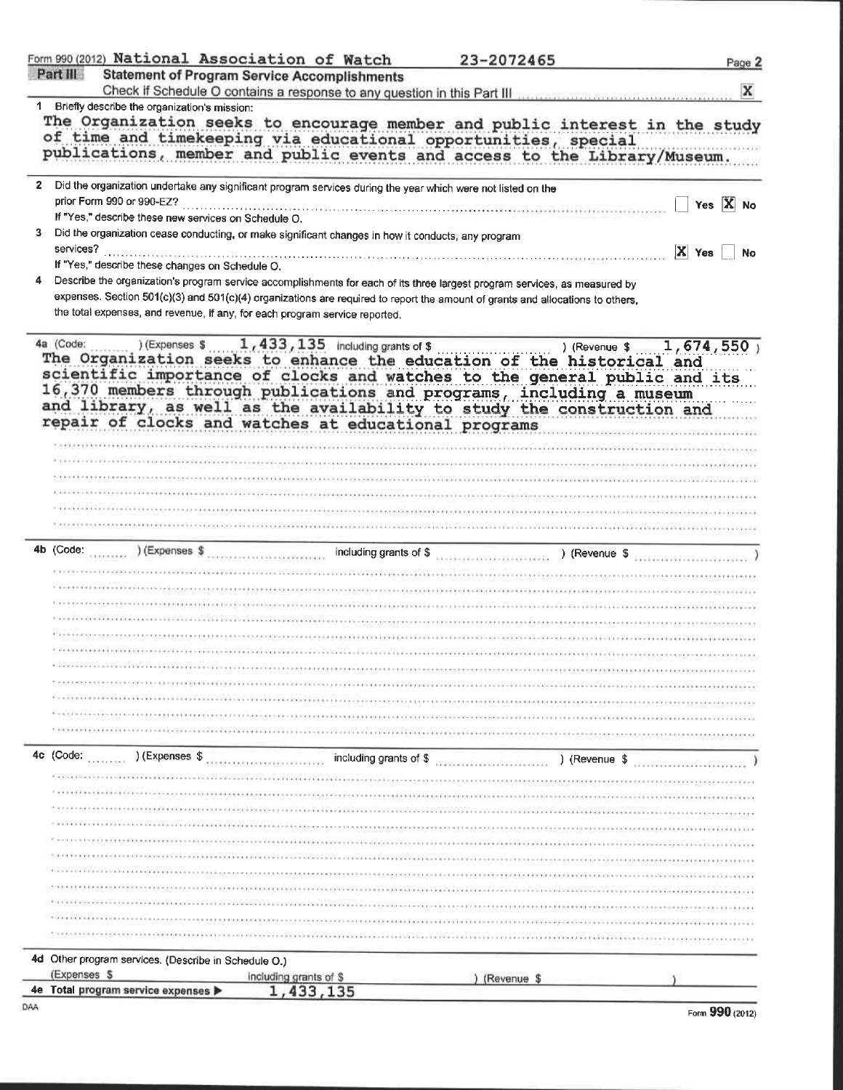| <b>Statement of Program Service Accomplishments</b><br>Briefly describe the organization's mission:<br>1.<br>The Organization seeks to encourage member and public interest in the study<br>of time and timekeeping via educational opportunities, special<br>publications, member and public events and access to the Library/Museum.<br>$\overline{2}$<br>Did the organization undertake any significant program services during the year which were not listed on the<br>prior Form 990 or 990-EZ?<br>If "Yes," describe these new services on Schedule O.<br>3<br>Did the organization cease conducting, or make significant changes in how it conducts, any program<br>services?<br>$ X $ Yes<br>If "Yes," describe these changes on Schedule O.<br>Describe the organization's program service accomplishments for each of its three largest program services, as measured by<br>4<br>expenses. Section 501(c)(3) and 501(c)(4) organizations are required to report the amount of grants and allocations to others,<br>the total expenses, and revenue, if any, for each program service reported.<br>4a (Code:<br>(Expenses \$1,433,135 including grants of \$<br>) (Revenue \$1,674,550)<br>a (Code: )(Expenses 5 1, 433, 133 including grants of \$ ) (Revenue \$ 1, 0./1<br>The Organization seeks to enhance the education of the historical and<br>scientific importance of clocks and watches to the general public and its<br>16,370 members through publications and programs, including a museum<br>and library, as well as the availability to study the construction and<br>repair of clocks and watches at educational programs<br>.<br>Ny fisiana ara-deha mpikambana ny mpikambana mpikamban<br>4b (Code:<br>4c (Code:<br>) (Expenses \$<br>including grants of \$<br>) (Revenue \$<br>material constructions.<br>4d Other program services. (Describe in Schedule O.)<br>(Expenses \$<br>including grants of \$<br>) (Revenue \$ | Form 990 (2012) National Association of Watch |           | 23-2072465 | Page 2     |
|---------------------------------------------------------------------------------------------------------------------------------------------------------------------------------------------------------------------------------------------------------------------------------------------------------------------------------------------------------------------------------------------------------------------------------------------------------------------------------------------------------------------------------------------------------------------------------------------------------------------------------------------------------------------------------------------------------------------------------------------------------------------------------------------------------------------------------------------------------------------------------------------------------------------------------------------------------------------------------------------------------------------------------------------------------------------------------------------------------------------------------------------------------------------------------------------------------------------------------------------------------------------------------------------------------------------------------------------------------------------------------------------------------------------------------------------------------------------------------------------------------------------------------------------------------------------------------------------------------------------------------------------------------------------------------------------------------------------------------------------------------------------------------------------------------------------------------------------------------------------------------------------------------------------------------------------------------|-----------------------------------------------|-----------|------------|------------|
|                                                                                                                                                                                                                                                                                                                                                                                                                                                                                                                                                                                                                                                                                                                                                                                                                                                                                                                                                                                                                                                                                                                                                                                                                                                                                                                                                                                                                                                                                                                                                                                                                                                                                                                                                                                                                                                                                                                                                         | Part III                                      |           |            | x          |
|                                                                                                                                                                                                                                                                                                                                                                                                                                                                                                                                                                                                                                                                                                                                                                                                                                                                                                                                                                                                                                                                                                                                                                                                                                                                                                                                                                                                                                                                                                                                                                                                                                                                                                                                                                                                                                                                                                                                                         |                                               |           |            |            |
|                                                                                                                                                                                                                                                                                                                                                                                                                                                                                                                                                                                                                                                                                                                                                                                                                                                                                                                                                                                                                                                                                                                                                                                                                                                                                                                                                                                                                                                                                                                                                                                                                                                                                                                                                                                                                                                                                                                                                         |                                               |           |            | Yes $X$ No |
|                                                                                                                                                                                                                                                                                                                                                                                                                                                                                                                                                                                                                                                                                                                                                                                                                                                                                                                                                                                                                                                                                                                                                                                                                                                                                                                                                                                                                                                                                                                                                                                                                                                                                                                                                                                                                                                                                                                                                         |                                               |           |            | No         |
|                                                                                                                                                                                                                                                                                                                                                                                                                                                                                                                                                                                                                                                                                                                                                                                                                                                                                                                                                                                                                                                                                                                                                                                                                                                                                                                                                                                                                                                                                                                                                                                                                                                                                                                                                                                                                                                                                                                                                         |                                               |           |            |            |
|                                                                                                                                                                                                                                                                                                                                                                                                                                                                                                                                                                                                                                                                                                                                                                                                                                                                                                                                                                                                                                                                                                                                                                                                                                                                                                                                                                                                                                                                                                                                                                                                                                                                                                                                                                                                                                                                                                                                                         |                                               |           |            |            |
|                                                                                                                                                                                                                                                                                                                                                                                                                                                                                                                                                                                                                                                                                                                                                                                                                                                                                                                                                                                                                                                                                                                                                                                                                                                                                                                                                                                                                                                                                                                                                                                                                                                                                                                                                                                                                                                                                                                                                         |                                               |           |            |            |
|                                                                                                                                                                                                                                                                                                                                                                                                                                                                                                                                                                                                                                                                                                                                                                                                                                                                                                                                                                                                                                                                                                                                                                                                                                                                                                                                                                                                                                                                                                                                                                                                                                                                                                                                                                                                                                                                                                                                                         |                                               |           |            |            |
|                                                                                                                                                                                                                                                                                                                                                                                                                                                                                                                                                                                                                                                                                                                                                                                                                                                                                                                                                                                                                                                                                                                                                                                                                                                                                                                                                                                                                                                                                                                                                                                                                                                                                                                                                                                                                                                                                                                                                         |                                               |           |            |            |
|                                                                                                                                                                                                                                                                                                                                                                                                                                                                                                                                                                                                                                                                                                                                                                                                                                                                                                                                                                                                                                                                                                                                                                                                                                                                                                                                                                                                                                                                                                                                                                                                                                                                                                                                                                                                                                                                                                                                                         |                                               |           |            |            |
|                                                                                                                                                                                                                                                                                                                                                                                                                                                                                                                                                                                                                                                                                                                                                                                                                                                                                                                                                                                                                                                                                                                                                                                                                                                                                                                                                                                                                                                                                                                                                                                                                                                                                                                                                                                                                                                                                                                                                         |                                               |           |            |            |
|                                                                                                                                                                                                                                                                                                                                                                                                                                                                                                                                                                                                                                                                                                                                                                                                                                                                                                                                                                                                                                                                                                                                                                                                                                                                                                                                                                                                                                                                                                                                                                                                                                                                                                                                                                                                                                                                                                                                                         |                                               |           |            |            |
|                                                                                                                                                                                                                                                                                                                                                                                                                                                                                                                                                                                                                                                                                                                                                                                                                                                                                                                                                                                                                                                                                                                                                                                                                                                                                                                                                                                                                                                                                                                                                                                                                                                                                                                                                                                                                                                                                                                                                         |                                               |           |            |            |
|                                                                                                                                                                                                                                                                                                                                                                                                                                                                                                                                                                                                                                                                                                                                                                                                                                                                                                                                                                                                                                                                                                                                                                                                                                                                                                                                                                                                                                                                                                                                                                                                                                                                                                                                                                                                                                                                                                                                                         |                                               |           |            |            |
|                                                                                                                                                                                                                                                                                                                                                                                                                                                                                                                                                                                                                                                                                                                                                                                                                                                                                                                                                                                                                                                                                                                                                                                                                                                                                                                                                                                                                                                                                                                                                                                                                                                                                                                                                                                                                                                                                                                                                         |                                               |           |            |            |
|                                                                                                                                                                                                                                                                                                                                                                                                                                                                                                                                                                                                                                                                                                                                                                                                                                                                                                                                                                                                                                                                                                                                                                                                                                                                                                                                                                                                                                                                                                                                                                                                                                                                                                                                                                                                                                                                                                                                                         |                                               |           |            |            |
|                                                                                                                                                                                                                                                                                                                                                                                                                                                                                                                                                                                                                                                                                                                                                                                                                                                                                                                                                                                                                                                                                                                                                                                                                                                                                                                                                                                                                                                                                                                                                                                                                                                                                                                                                                                                                                                                                                                                                         |                                               |           |            |            |
|                                                                                                                                                                                                                                                                                                                                                                                                                                                                                                                                                                                                                                                                                                                                                                                                                                                                                                                                                                                                                                                                                                                                                                                                                                                                                                                                                                                                                                                                                                                                                                                                                                                                                                                                                                                                                                                                                                                                                         |                                               |           |            |            |
|                                                                                                                                                                                                                                                                                                                                                                                                                                                                                                                                                                                                                                                                                                                                                                                                                                                                                                                                                                                                                                                                                                                                                                                                                                                                                                                                                                                                                                                                                                                                                                                                                                                                                                                                                                                                                                                                                                                                                         |                                               |           |            |            |
|                                                                                                                                                                                                                                                                                                                                                                                                                                                                                                                                                                                                                                                                                                                                                                                                                                                                                                                                                                                                                                                                                                                                                                                                                                                                                                                                                                                                                                                                                                                                                                                                                                                                                                                                                                                                                                                                                                                                                         |                                               |           |            |            |
|                                                                                                                                                                                                                                                                                                                                                                                                                                                                                                                                                                                                                                                                                                                                                                                                                                                                                                                                                                                                                                                                                                                                                                                                                                                                                                                                                                                                                                                                                                                                                                                                                                                                                                                                                                                                                                                                                                                                                         |                                               |           |            |            |
|                                                                                                                                                                                                                                                                                                                                                                                                                                                                                                                                                                                                                                                                                                                                                                                                                                                                                                                                                                                                                                                                                                                                                                                                                                                                                                                                                                                                                                                                                                                                                                                                                                                                                                                                                                                                                                                                                                                                                         |                                               |           |            |            |
|                                                                                                                                                                                                                                                                                                                                                                                                                                                                                                                                                                                                                                                                                                                                                                                                                                                                                                                                                                                                                                                                                                                                                                                                                                                                                                                                                                                                                                                                                                                                                                                                                                                                                                                                                                                                                                                                                                                                                         |                                               |           |            |            |
|                                                                                                                                                                                                                                                                                                                                                                                                                                                                                                                                                                                                                                                                                                                                                                                                                                                                                                                                                                                                                                                                                                                                                                                                                                                                                                                                                                                                                                                                                                                                                                                                                                                                                                                                                                                                                                                                                                                                                         |                                               |           |            |            |
|                                                                                                                                                                                                                                                                                                                                                                                                                                                                                                                                                                                                                                                                                                                                                                                                                                                                                                                                                                                                                                                                                                                                                                                                                                                                                                                                                                                                                                                                                                                                                                                                                                                                                                                                                                                                                                                                                                                                                         |                                               |           |            |            |
|                                                                                                                                                                                                                                                                                                                                                                                                                                                                                                                                                                                                                                                                                                                                                                                                                                                                                                                                                                                                                                                                                                                                                                                                                                                                                                                                                                                                                                                                                                                                                                                                                                                                                                                                                                                                                                                                                                                                                         |                                               |           |            |            |
|                                                                                                                                                                                                                                                                                                                                                                                                                                                                                                                                                                                                                                                                                                                                                                                                                                                                                                                                                                                                                                                                                                                                                                                                                                                                                                                                                                                                                                                                                                                                                                                                                                                                                                                                                                                                                                                                                                                                                         |                                               |           |            |            |
|                                                                                                                                                                                                                                                                                                                                                                                                                                                                                                                                                                                                                                                                                                                                                                                                                                                                                                                                                                                                                                                                                                                                                                                                                                                                                                                                                                                                                                                                                                                                                                                                                                                                                                                                                                                                                                                                                                                                                         |                                               |           |            |            |
|                                                                                                                                                                                                                                                                                                                                                                                                                                                                                                                                                                                                                                                                                                                                                                                                                                                                                                                                                                                                                                                                                                                                                                                                                                                                                                                                                                                                                                                                                                                                                                                                                                                                                                                                                                                                                                                                                                                                                         |                                               |           |            |            |
|                                                                                                                                                                                                                                                                                                                                                                                                                                                                                                                                                                                                                                                                                                                                                                                                                                                                                                                                                                                                                                                                                                                                                                                                                                                                                                                                                                                                                                                                                                                                                                                                                                                                                                                                                                                                                                                                                                                                                         |                                               |           |            |            |
|                                                                                                                                                                                                                                                                                                                                                                                                                                                                                                                                                                                                                                                                                                                                                                                                                                                                                                                                                                                                                                                                                                                                                                                                                                                                                                                                                                                                                                                                                                                                                                                                                                                                                                                                                                                                                                                                                                                                                         |                                               |           |            |            |
|                                                                                                                                                                                                                                                                                                                                                                                                                                                                                                                                                                                                                                                                                                                                                                                                                                                                                                                                                                                                                                                                                                                                                                                                                                                                                                                                                                                                                                                                                                                                                                                                                                                                                                                                                                                                                                                                                                                                                         |                                               |           |            |            |
|                                                                                                                                                                                                                                                                                                                                                                                                                                                                                                                                                                                                                                                                                                                                                                                                                                                                                                                                                                                                                                                                                                                                                                                                                                                                                                                                                                                                                                                                                                                                                                                                                                                                                                                                                                                                                                                                                                                                                         |                                               |           |            |            |
|                                                                                                                                                                                                                                                                                                                                                                                                                                                                                                                                                                                                                                                                                                                                                                                                                                                                                                                                                                                                                                                                                                                                                                                                                                                                                                                                                                                                                                                                                                                                                                                                                                                                                                                                                                                                                                                                                                                                                         |                                               |           |            |            |
|                                                                                                                                                                                                                                                                                                                                                                                                                                                                                                                                                                                                                                                                                                                                                                                                                                                                                                                                                                                                                                                                                                                                                                                                                                                                                                                                                                                                                                                                                                                                                                                                                                                                                                                                                                                                                                                                                                                                                         |                                               |           |            |            |
|                                                                                                                                                                                                                                                                                                                                                                                                                                                                                                                                                                                                                                                                                                                                                                                                                                                                                                                                                                                                                                                                                                                                                                                                                                                                                                                                                                                                                                                                                                                                                                                                                                                                                                                                                                                                                                                                                                                                                         |                                               |           |            |            |
|                                                                                                                                                                                                                                                                                                                                                                                                                                                                                                                                                                                                                                                                                                                                                                                                                                                                                                                                                                                                                                                                                                                                                                                                                                                                                                                                                                                                                                                                                                                                                                                                                                                                                                                                                                                                                                                                                                                                                         |                                               |           |            |            |
|                                                                                                                                                                                                                                                                                                                                                                                                                                                                                                                                                                                                                                                                                                                                                                                                                                                                                                                                                                                                                                                                                                                                                                                                                                                                                                                                                                                                                                                                                                                                                                                                                                                                                                                                                                                                                                                                                                                                                         |                                               |           |            |            |
|                                                                                                                                                                                                                                                                                                                                                                                                                                                                                                                                                                                                                                                                                                                                                                                                                                                                                                                                                                                                                                                                                                                                                                                                                                                                                                                                                                                                                                                                                                                                                                                                                                                                                                                                                                                                                                                                                                                                                         |                                               |           |            |            |
|                                                                                                                                                                                                                                                                                                                                                                                                                                                                                                                                                                                                                                                                                                                                                                                                                                                                                                                                                                                                                                                                                                                                                                                                                                                                                                                                                                                                                                                                                                                                                                                                                                                                                                                                                                                                                                                                                                                                                         | Total program service expenses<br>4e.         | 1,433,135 |            |            |

|  |  | Form 990 (2012) |
|--|--|-----------------|
|--|--|-----------------|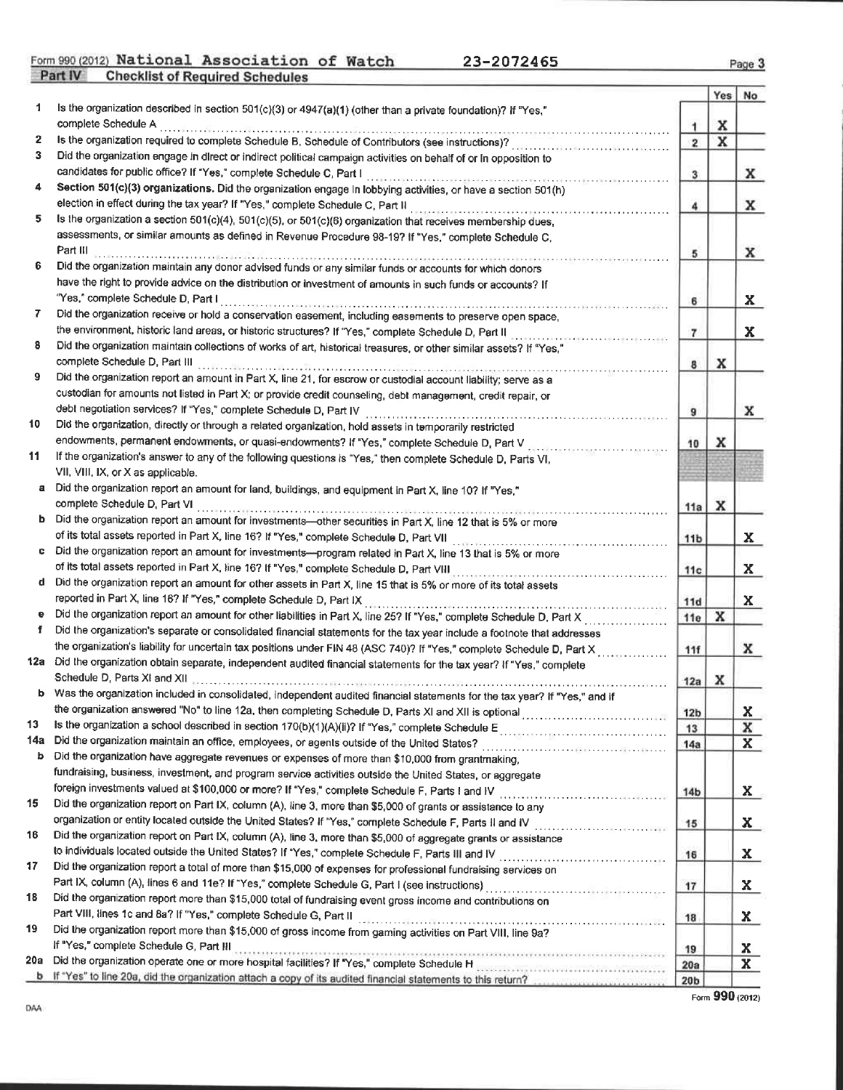Form 990 (2012) National Association of Watch 23-2072465<br>Part IV Checklist of Required Schedules

Page 3

|     |                                                                                                                                                                                                                                |                 | Yes | No           |
|-----|--------------------------------------------------------------------------------------------------------------------------------------------------------------------------------------------------------------------------------|-----------------|-----|--------------|
| 1   | Is the organization described in section 501(c)(3) or 4947(a)(1) (other than a private foundation)? If "Yes,"                                                                                                                  |                 |     |              |
|     | complete Schedule A                                                                                                                                                                                                            | $\mathbf{1}$    | x   |              |
| 2   | Is the organization required to complete Schedule B, Schedule of Contributors (see instructions)?                                                                                                                              | $\overline{2}$  | X   |              |
| 3   | Did the organization engage in direct or indirect political campaign activities on behalf of or in opposition to                                                                                                               |                 |     |              |
|     | candidates for public office? If "Yes," complete Schedule C, Part I                                                                                                                                                            | 3               |     | x            |
| 4   | Section 501(c)(3) organizations. Did the organization engage In lobbying activities, or have a section 501(h)                                                                                                                  |                 |     |              |
| 5.  | election in effect during the tax year? If "Yes," complete Schedule C, Part II                                                                                                                                                 | 4               |     | x            |
|     | Is the organization a section 501(c)(4), 501(c)(5), or 501(c)(6) organization that receives membership dues,                                                                                                                   |                 |     |              |
|     | assessments, or similar amounts as defined in Revenue Procedure 98-19? If "Yes," complete Schedule C,<br>Part III                                                                                                              |                 |     |              |
| 6   | Did the organization maintain any donor advised funds or any similar funds or accounts for which donors                                                                                                                        | 5               |     | x            |
|     |                                                                                                                                                                                                                                |                 |     |              |
|     | have the right to provide advice on the distribution or investment of amounts in such funds or accounts? If<br>"Yes," complete Schedule D. Part I                                                                              |                 |     |              |
| 7.  | Did the organization receive or hold a conservation easement, including easements to preserve open space,                                                                                                                      | 6               |     | x            |
|     | the environment, historic land areas, or historic structures? If "Yes," complete Schedule D, Part II                                                                                                                           |                 |     |              |
| 8   | Did the organization maintain collections of works of art, historical treasures, or other similar assets? If "Yes,"                                                                                                            | $\overline{7}$  |     | $\mathbf{x}$ |
|     | complete Schedule D, Part III                                                                                                                                                                                                  |                 |     |              |
| 9   | Did the organization report an amount in Part X, line 21, for escrow or custodial account liability; serve as a                                                                                                                | 8               | x   |              |
|     | custodian for amounts not listed in Part X; or provide credit counseling, debt management, credit repair, or                                                                                                                   |                 |     |              |
|     | debt negotiation services? If "Yes," complete Schedule D, Part IV                                                                                                                                                              |                 |     | x            |
| 10  | Did the organization, directly or through a related organization, hold assets in temporarily restricted                                                                                                                        | 9               |     |              |
|     | endowments, permanent endowments, or quasi-endowments? If "Yes," complete Schedule D, Part V                                                                                                                                   | 10              | x   |              |
| 11  | If the organization's answer to any of the following questions is "Yes," then complete Schedule D, Parts VI,                                                                                                                   |                 |     |              |
|     | VII, VIII, IX, or X as applicable.                                                                                                                                                                                             |                 |     |              |
| a   | Did the organization report an amount for land, buildings, and equipment in Part X, line 10? If "Yes,"                                                                                                                         |                 |     |              |
|     | complete Schedule D, Part VI                                                                                                                                                                                                   | 11a             | x   |              |
|     | b Did the organization report an amount for investments-other securities in Part X, line 12 that is 5% or more                                                                                                                 |                 |     |              |
|     | of its total assets reported in Part X, line 16? If "Yes," complete Schedule D, Part VII                                                                                                                                       | 11 <sub>b</sub> |     | $\mathbf{x}$ |
|     | Did the organization report an amount for investments-program related in Part X, line 13 that is 5% or more                                                                                                                    |                 |     |              |
|     | of its total assets reported in Part X, line 16? If "Yes," complete Schedule D, Part VIII                                                                                                                                      | 11c             |     | X.           |
| d.  | Did the organization report an amount for other assets in Part X, line 15 that is 5% or more of its total assets                                                                                                               |                 |     |              |
|     | reported in Part X, line 16? If "Yes," complete Schedule D, Part IX                                                                                                                                                            | 11d             |     | $\mathbf{x}$ |
|     |                                                                                                                                                                                                                                | 11e             | x   |              |
| f.  | Did the organization's separate or consolidated financial statements for the tax year include a footnote that addresses                                                                                                        |                 |     |              |
|     | the organization's liability for uncertain tax positions under FIN 48 (ASC 740)? If "Yes," complete Schedule D, Part X                                                                                                         | 11f             |     | x            |
|     | 12a Did the organization obtain separate, independent audited financial statements for the tax year? If "Yes," complete                                                                                                        |                 |     |              |
|     | Schedule D, Parts XI and XII                                                                                                                                                                                                   | 12a             | x   |              |
|     | b Was the organization included in consolidated, independent audited financial statements for the tax year? If "Yes," and if                                                                                                   |                 |     |              |
|     |                                                                                                                                                                                                                                | 12 <sub>b</sub> |     | X            |
| 13  |                                                                                                                                                                                                                                | 13              |     | x            |
| 14a |                                                                                                                                                                                                                                | 14a             |     | $\mathbf{x}$ |
| b   | Did the organization have aggregate revenues or expenses of more than \$10,000 from grantmaking,                                                                                                                               |                 |     |              |
|     | fundraising, business, investment, and program service activities outside the United States, or aggregate                                                                                                                      |                 |     |              |
|     | foreign investments valued at \$100,000 or more? If "Yes," complete Schedule F, Parts I and IV [[[[[[[[[[[[[[[[                                                                                                                | 14 <sub>b</sub> |     | X.           |
| 15  | Did the organization report on Part IX, column (A), line 3, more than \$5,000 of grants or assistance to any                                                                                                                   |                 |     |              |
|     |                                                                                                                                                                                                                                | 15              |     | X.           |
| 16  | Did the organization report on Part IX, column (A), line 3, more than \$5,000 of aggregate grants or assistance                                                                                                                |                 |     |              |
|     |                                                                                                                                                                                                                                | 16              |     | <u>x</u>     |
| 17  | Did the organization report a total of more than \$15,000 of expenses for professional fundraising services on                                                                                                                 |                 |     |              |
|     |                                                                                                                                                                                                                                | 17              |     | $\mathbf{x}$ |
| 18  | Did the organization report more than \$15,000 total of fundraising event gross income and contributions on                                                                                                                    |                 |     |              |
| 19  | Part VIII, lines 1c and 8a? If "Yes," complete Schedule G, Part II [19] Martin Martin Martin Martin Martin Martin Martin Martin Martin Martin Martin Martin Martin Martin Martin Martin Martin Martin Martin Martin Martin Mar | 18              |     | X.           |
|     | Did the organization report more than \$15,000 of gross income from gaming activities on Part VIII, line 9a?<br>If "Yes," complete Schedule G, Part III                                                                        |                 |     |              |
| 20a |                                                                                                                                                                                                                                | 19              |     | Х.           |
|     | Did the organization operate one or more hospital facilities? If "Yes," complete Schedule H assesses and containing the organization operate one or more hospital facilities? If "Yes," complete Schedule H assessessessessess | 20a             |     | $\mathbf{x}$ |
|     | b if "Yes" to line 20a, did the organization attach a copy of its audited financial statements to this return?                                                                                                                 | 20 <sub>b</sub> |     |              |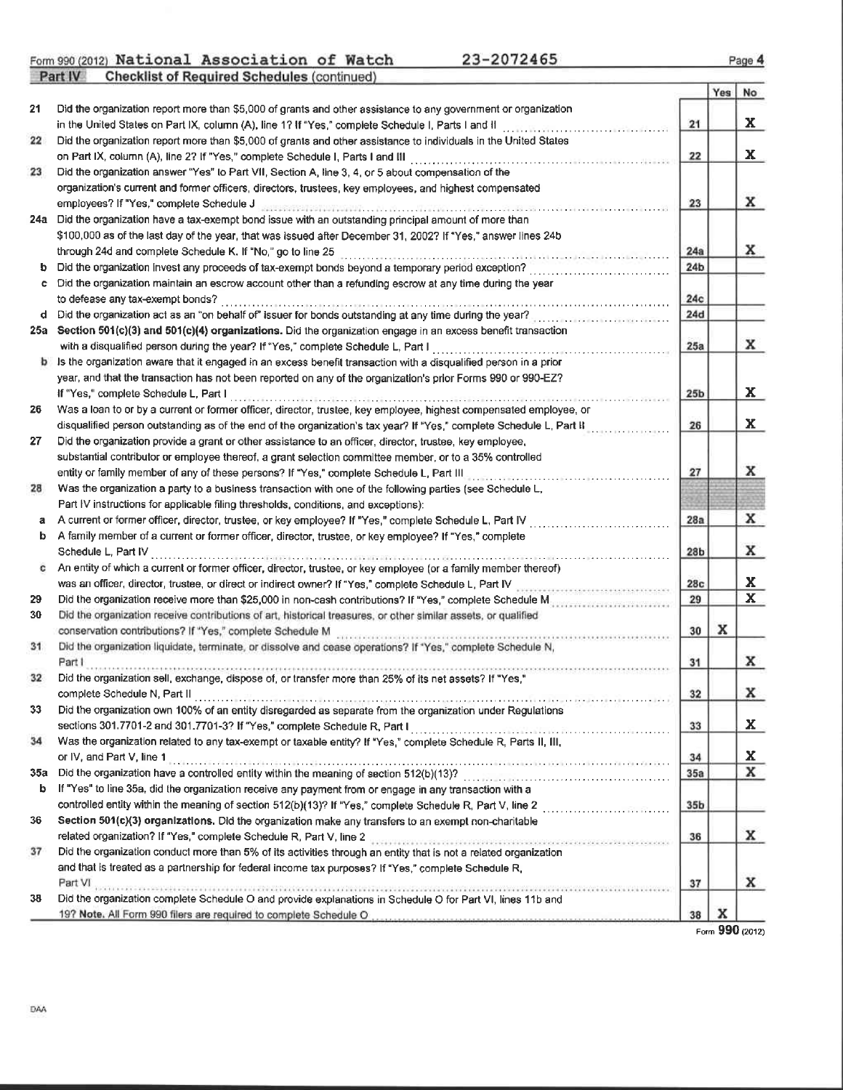Form 990 (2012) National Association of Watch<br>Part IV Checklist of Required Schedules (continued)

23-2072465

|     |                                                                                                                                                                                                    |                 | Yes | No                      |
|-----|----------------------------------------------------------------------------------------------------------------------------------------------------------------------------------------------------|-----------------|-----|-------------------------|
| 21  | Did the organization report more than \$5,000 of grants and other assistance to any government or organization                                                                                     |                 |     |                         |
|     | in the United States on Part IX, column (A), line 1? If "Yes," complete Schedule I, Parts I and II                                                                                                 | 21              |     | X                       |
| 22  | Did the organization report more than \$5,000 of grants and other assistance to individuals in the United States<br>on Part IX, column (A), line 2? If "Yes," complete Schedule I, Parts I and III | 22              |     | X                       |
| 23  | Did the organization answer "Yes" to Part VII, Section A, line 3, 4, or 5 about compensation of the                                                                                                |                 |     |                         |
|     | organization's current and former officers, directors, trustees, key employees, and highest compensated                                                                                            |                 |     |                         |
|     | employees? If "Yes," complete Schedule J                                                                                                                                                           | 23              |     | x                       |
| 24a | Did the organization have a tax-exempt bond issue with an outstanding principal amount of more than                                                                                                |                 |     |                         |
|     | \$100,000 as of the last day of the year, that was issued after December 31, 2002? If "Yes," answer lines 24b                                                                                      |                 |     |                         |
|     | through 24d and complete Schedule K. If "No," go to line 25                                                                                                                                        | 24a             |     | x                       |
|     | Did the organization invest any proceeds of tax-exempt bonds beyond a temporary period exception?                                                                                                  | 24 <sub>b</sub> |     |                         |
| c   | Did the organization maintain an escrow account other than a refunding escrow at any time during the year                                                                                          |                 |     |                         |
|     | to defease any tax-exempt bonds?                                                                                                                                                                   | 24c             |     |                         |
| d   | Did the organization act as an "on behalf of" issuer for bonds outstanding at any time during the year?                                                                                            | 24d             |     |                         |
| 25a | Section 501(c)(3) and 501(c)(4) organizations. Did the organization engage in an excess benefit transaction                                                                                        |                 |     |                         |
|     | with a disqualified person during the year? If "Yes," complete Schedule L, Part I                                                                                                                  | 25a             |     | x                       |
|     | Is the organization aware that it engaged in an excess benefit transaction with a disqualified person in a prior                                                                                   |                 |     |                         |
|     | year, and that the transaction has not been reported on any of the organization's prior Forms 990 or 990-EZ?                                                                                       |                 |     |                         |
|     | If "Yes," complete Schedule L, Part I                                                                                                                                                              | 25 <sub>b</sub> |     | x                       |
| 26  | Was a loan to or by a current or former officer, director, trustee, key employee, highest compensated employee, or                                                                                 |                 |     |                         |
|     | disqualified person outstanding as of the end of the organization's tax year? If "Yes," complete Schedule L, Part II                                                                               | 26              |     | x                       |
| 27  | Did the organization provide a grant or other assistance to an officer, director, trustee, key employee,                                                                                           |                 |     |                         |
|     | substantial contributor or employee thereof, a grant selection committee member, or to a 35% controlled                                                                                            |                 |     |                         |
|     | entity or family member of any of these persons? If "Yes," complete Schedule L, Part III                                                                                                           | 27              |     | x                       |
| 28  | Was the organization a party to a business transaction with one of the following parties (see Schedule L,                                                                                          |                 |     |                         |
|     | Part IV instructions for applicable filing thresholds, conditions, and exceptions):                                                                                                                |                 |     |                         |
| а   | A current or former officer, director, trustee, or key employee? If "Yes," complete Schedule L, Part IV                                                                                            | 28a             |     | x                       |
| b.  | A family member of a current or former officer, director, trustee, or key employee? If "Yes," complete                                                                                             |                 |     |                         |
|     | Schedule L, Part IV                                                                                                                                                                                | 28 <sub>b</sub> |     | x                       |
| c   | An entity of which a current or former officer, director, trustee, or key employee (or a family member thereof)                                                                                    |                 |     |                         |
|     | was an officer, director, trustee, or direct or indirect owner? If "Yes," complete Schedule L, Part IV                                                                                             | 28c             |     | X                       |
| 29  | Did the organization receive more than \$25,000 in non-cash contributions? If "Yes," complete Schedule Messerscheider                                                                              | 29              |     | $\overline{\mathbf{x}}$ |
| 30  | Did the organization receive contributions of art, historical treasures, or other similar assets, or qualified                                                                                     |                 |     |                         |
|     | conservation contributions? If "Yes," complete Schedule M                                                                                                                                          | 30              | x   |                         |
| 31  | Did the organization liquidate, terminate, or dissolve and cease operations? If "Yes," complete Schedule N,                                                                                        |                 |     |                         |
|     | Part I                                                                                                                                                                                             | 31              |     | x                       |
| 32  | Did the organization sell, exchange, dispose of, or transfer more than 25% of its net assets? If "Yes,"                                                                                            |                 |     |                         |
|     | complete Schedule N, Part II                                                                                                                                                                       | 32              |     | x                       |
| 33  | Did the organization own 100% of an entity disregarded as separate from the organization under Regulations                                                                                         |                 |     |                         |
|     | sections 301.7701-2 and 301.7701-3? If "Yes," complete Schedule R, Part I                                                                                                                          | 33              |     | X.                      |
| 34  | Was the organization related to any tax-exempt or taxable entity? If "Yes," complete Schedule R, Parts II, III,                                                                                    |                 |     |                         |
|     | or IV, and Part V, line 1                                                                                                                                                                          | 34              |     | x                       |
| 35a |                                                                                                                                                                                                    | 35a             |     | X                       |
| b   | If "Yes" to line 35a, did the organization receive any payment from or engage in any transaction with a                                                                                            |                 |     |                         |
|     |                                                                                                                                                                                                    | 35 <sub>b</sub> |     |                         |
| 36  | Section 501(c)(3) organizations. Did the organization make any transfers to an exempt non-charitable                                                                                               |                 |     |                         |
|     | related organization? If "Yes," complete Schedule R, Part V, line 2                                                                                                                                | 36              |     | x                       |
| 37  | Did the organization conduct more than 5% of its activities through an entity that is not a related organization                                                                                   |                 |     |                         |
|     | and that is treated as a partnership for federal income tax purposes? If "Yes," complete Schedule R,                                                                                               |                 |     |                         |
|     | Part VI                                                                                                                                                                                            | 37              |     | x                       |
| 38  | Did the organization complete Schedule O and provide explanations in Schedule O for Part VI, lines 11b and                                                                                         |                 |     |                         |
|     | 19? Note. All Form 990 filers are required to complete Schedule O.                                                                                                                                 | 38              | x   |                         |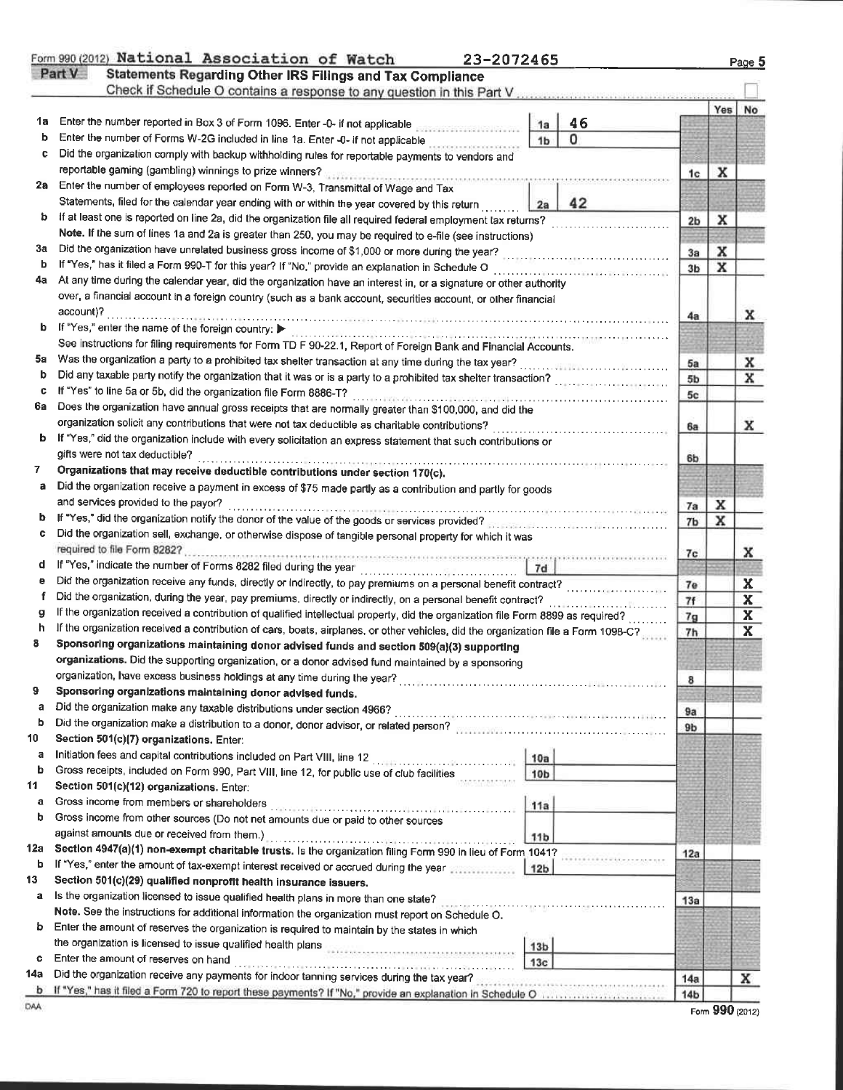|     | Form 990 (2012) National Association of Watch<br>23-2072465<br>Part V<br><b>Statements Regarding Other IRS Filings and Tax Compliance</b>                                                                   |                                    |                                                                  |                |   | Page 5                     |
|-----|-------------------------------------------------------------------------------------------------------------------------------------------------------------------------------------------------------------|------------------------------------|------------------------------------------------------------------|----------------|---|----------------------------|
|     | Check if Schedule O contains a response to any question in this Part V                                                                                                                                      |                                    |                                                                  |                |   |                            |
| 1a  |                                                                                                                                                                                                             |                                    | 46                                                               |                |   | Yes No                     |
| b   | Enter the number reported in Box 3 of Form 1096. Enter -0- if not applicable<br>Enter the number of Forms W-2G included in line 1a. Enter -0- if not applicable                                             | 1a                                 | 0                                                                |                |   |                            |
| с   | Did the organization comply with backup withholding rules for reportable payments to vendors and                                                                                                            | 1 <sub>b</sub>                     |                                                                  |                |   |                            |
|     | reportable gaming (gambling) winnings to prize winners?                                                                                                                                                     |                                    |                                                                  |                |   |                            |
| 2a  | Enter the number of employees reported on Form W-3, Transmittal of Wage and Tax                                                                                                                             |                                    |                                                                  | 1c             | x |                            |
|     |                                                                                                                                                                                                             |                                    |                                                                  |                |   |                            |
| b   | Statements, filed for the calendar year ending with or within the year covered by this return                                                                                                               | 2a                                 | 42                                                               |                |   |                            |
|     | If at least one is reported on line 2a, did the organization file all required federal employment tax returns?                                                                                              |                                    |                                                                  | 2 <sub>b</sub> | x |                            |
| Зa  | Note. If the sum of lines 1a and 2a is greater than 250, you may be required to e-file (see instructions)<br>Did the organization have unrelated business gross income of \$1,000 or more during the year?  |                                    |                                                                  |                |   |                            |
| b   | If "Yes," has it filed a Form 990-T for this year? If "No," provide an explanation in Schedule O                                                                                                            |                                    |                                                                  | 3a             | x |                            |
| 4a  | At any time during the calendar year, did the organization have an interest in, or a signature or other authority                                                                                           |                                    | .<br>2002 - Charles Les Les Langues (1987-1988) - Profile (1988) | 3 <sub>b</sub> | x |                            |
|     | over, a financial account in a foreign country (such as a bank account, securities account, or other financial                                                                                              |                                    |                                                                  |                |   |                            |
|     | account)?                                                                                                                                                                                                   |                                    |                                                                  |                |   |                            |
|     | If "Yes," enter the name of the foreign country:                                                                                                                                                            |                                    |                                                                  | 4a             |   | x                          |
|     | See instructions for filing requirements for Form TD F 90-22.1, Report of Foreign Bank and Financial Accounts.                                                                                              |                                    |                                                                  |                |   |                            |
| 5a  |                                                                                                                                                                                                             |                                    |                                                                  |                |   |                            |
| b   |                                                                                                                                                                                                             |                                    |                                                                  | 5a             |   | x                          |
| c   | Did any taxable party notify the organization that it was or is a party to a prohibited tax shelter transaction?<br>If "Yes" to line 5a or 5b, did the organization file Form 8886-T?                       |                                    |                                                                  | 5b             |   | x                          |
| 6а  | Does the organization have annual gross receipts that are normally greater than \$100,000, and did the                                                                                                      |                                    |                                                                  | 5c             |   |                            |
|     | organization solicit any contributions that were not tax deductible as charitable contributions?                                                                                                            |                                    |                                                                  |                |   |                            |
| b   | If "Yes," did the organization include with every solicitation an express statement that such contributions or                                                                                              |                                    |                                                                  | 6a             |   | x                          |
|     | gifts were not tax deductible?                                                                                                                                                                              |                                    |                                                                  |                |   |                            |
| 7.  | Organizations that may receive deductible contributions under section 170(c).                                                                                                                               |                                    |                                                                  | 6b             |   |                            |
| a   | Did the organization receive a payment in excess of \$75 made partly as a contribution and partly for goods                                                                                                 |                                    |                                                                  |                |   |                            |
|     | and services provided to the payor?                                                                                                                                                                         |                                    |                                                                  |                |   |                            |
|     |                                                                                                                                                                                                             |                                    |                                                                  | 7a             | x |                            |
|     | If "Yes," did the organization notify the donor of the value of the goods or services provided?<br>Did the organization sell, exchange, or otherwise dispose of tangible personal property for which it was |                                    |                                                                  | 7b             | x |                            |
|     | required to file Form 8282?                                                                                                                                                                                 |                                    |                                                                  |                |   |                            |
| d   | A PARTICIPATION IN THE REPORT OF THE CONTROL OF THE CONTRACT OF THE CONTRACT OF THE CONTRACT OF THE<br>If "Yes," indicate the number of Forms 8282 filed during the year                                    | 7d                                 |                                                                  | 7c             |   | x                          |
| е   | the company of the first product of the<br>Did the organization receive any funds, directly or indirectly, to pay premiums on a personal benefit contract?                                                  |                                    |                                                                  |                |   |                            |
| f   | Did the organization, during the year, pay premiums, directly or indirectly, on a personal benefit contract?                                                                                                |                                    |                                                                  | 7e             |   | X                          |
| g   | If the organization received a contribution of qualified intellectual property, did the organization file Form 8899 as required?                                                                            |                                    |                                                                  | 7f             |   | $\mathbf x$                |
| h   | If the organization received a contribution of cars, boats, airplanes, or other vehicles, did the organization file a Form 1098-C?                                                                          |                                    |                                                                  | 7 <sub>9</sub> |   | $\mathbf x$<br>$\mathbf x$ |
| 8   | Sponsoring organizations maintaining donor advised funds and section 509(a)(3) supporting                                                                                                                   |                                    |                                                                  | 7h             |   |                            |
|     | organizations. Did the supporting organization, or a donor advised fund maintained by a sponsoring                                                                                                          |                                    |                                                                  |                |   |                            |
|     |                                                                                                                                                                                                             |                                    |                                                                  |                |   |                            |
| 9   | Sponsoring organizations maintaining donor advised funds.                                                                                                                                                   |                                    |                                                                  | 8              |   |                            |
| а   |                                                                                                                                                                                                             |                                    |                                                                  |                |   |                            |
| b   |                                                                                                                                                                                                             |                                    |                                                                  | 9a             |   |                            |
| 10  | Section 501(c)(7) organizations. Enter:                                                                                                                                                                     |                                    |                                                                  | 9 <sub>b</sub> |   |                            |
| a   |                                                                                                                                                                                                             | 10a                                |                                                                  |                |   |                            |
| b   | Gross receipts, included on Form 990, Part VIII, line 12, for public use of club facilities                                                                                                                 | 10 <sub>b</sub>                    |                                                                  |                |   |                            |
| 11  | Section 501(c)(12) organizations. Enter:                                                                                                                                                                    |                                    |                                                                  |                |   |                            |
| a   | Gross income from members or shareholders                                                                                                                                                                   | 11a                                |                                                                  |                |   |                            |
| b   | Gross income from other sources (Do not net amounts due or paid to other sources                                                                                                                            |                                    |                                                                  |                |   |                            |
|     | against amounts due or received from them.)                                                                                                                                                                 |                                    |                                                                  |                |   |                            |
| 12a | Section 4947(a)(1) non-exempt charitable trusts. Is the organization filing Form 990 in lieu of Form 1041?                                                                                                  | 11 <sub>b</sub>                    |                                                                  |                |   |                            |
| b   | If "Yes," enter the amount of tax-exempt interest received or accrued during the year                                                                                                                       | 12b                                |                                                                  | 12a            |   |                            |
| 13  | Section 501(c)(29) qualified nonprofit health insurance issuers.                                                                                                                                            |                                    |                                                                  |                |   |                            |
| a   | Is the organization licensed to issue qualified health plans in more than one state?                                                                                                                        |                                    |                                                                  |                |   |                            |
|     | Note. See the instructions for additional information the organization must report on Schedule O.                                                                                                           |                                    |                                                                  | 13a            |   |                            |
| b   | Enter the amount of reserves the organization is required to maintain by the states in which                                                                                                                |                                    |                                                                  |                |   |                            |
|     | the organization is licensed to issue qualified health plans                                                                                                                                                |                                    |                                                                  |                |   |                            |
| c   | Enter the amount of reserves on hand                                                                                                                                                                        | 13 <sub>b</sub><br>13 <sub>c</sub> |                                                                  |                |   |                            |
| 14a | Did the organization receive any payments for indoor tanning services during the tax year?                                                                                                                  |                                    |                                                                  |                |   |                            |
|     | b If "Yes," has it filed a Form 720 to report these payments? If "No," provide an explanation in Schedule O.                                                                                                |                                    |                                                                  | 14a            |   | x                          |

|  |  | Form 990 (2012) |
|--|--|-----------------|
|--|--|-----------------|

 $\frac{1}{\text{DAA}}$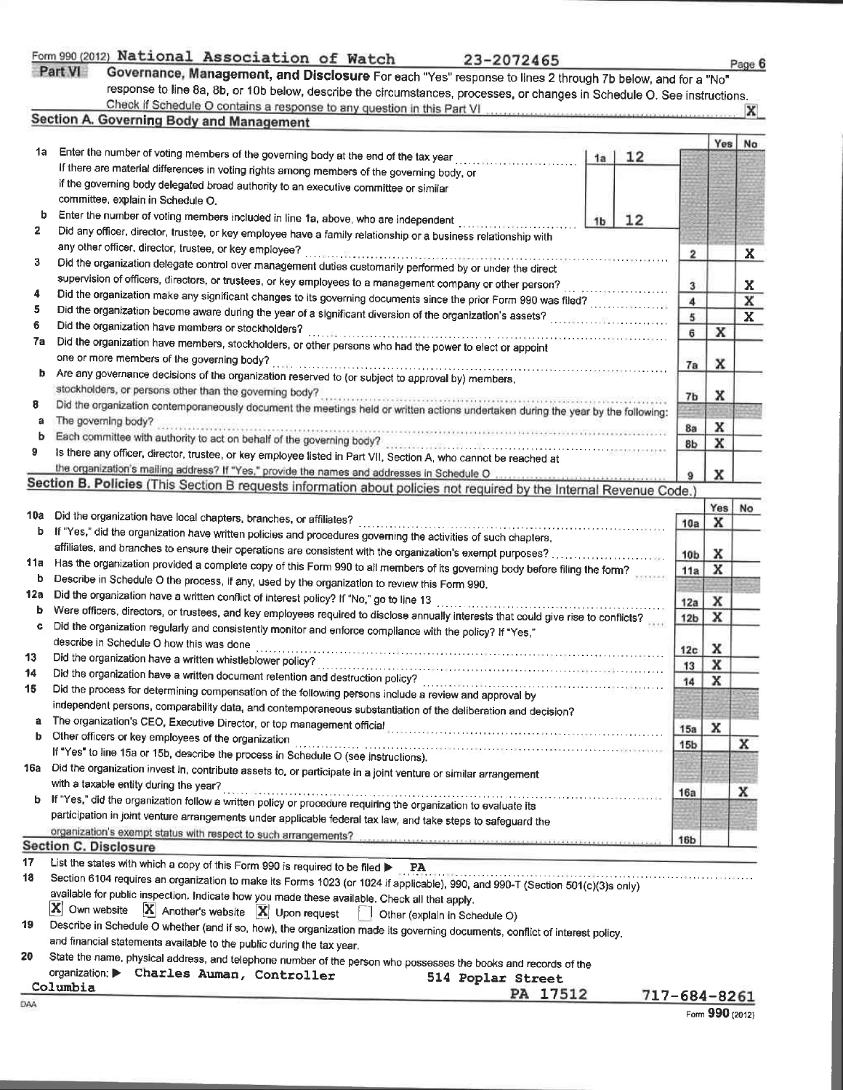|         | Form 990 (2012) National Association of Watch |  |  |
|---------|-----------------------------------------------|--|--|
| Part VI | Governance, Management, and Disclosure For    |  |  |

| National Association of Watch |  | 23-2072465                                                                 |
|-------------------------------|--|----------------------------------------------------------------------------|
|                               |  | 3 overnance, Management, and Disclosure For each "Yes" response to lines 2 |

| - |
|---|
|   |

| Part VI | ----<br>"Governance, Management, and Disclosure For each "Yes" response to lines 2 through 7b below, and for a "No"       |
|---------|---------------------------------------------------------------------------------------------------------------------------|
|         | response to line 8a, 8b, or 10b below, describe the circumstances, processes, or changes in Schedule O. See instructions. |
|         | Check if Schedule O contains a response to any question in this Part VI<br>$\mathbf{x}$                                   |
|         | Section A. Governing Body and Management                                                                                  |

|          |                                                                                                                                                                           |    |    |                        | Yes    | No                      |  |  |
|----------|---------------------------------------------------------------------------------------------------------------------------------------------------------------------------|----|----|------------------------|--------|-------------------------|--|--|
| 1a       | Enter the number of voting members of the governing body at the end of the tax year                                                                                       | 1a | 12 |                        |        |                         |  |  |
|          | If there are material differences in voting rights among members of the governing body, or                                                                                |    |    |                        |        |                         |  |  |
|          | if the governing body delegated broad authority to an executive committee or similar                                                                                      |    |    |                        |        |                         |  |  |
|          | committee, explain in Schedule O.                                                                                                                                         |    |    |                        |        |                         |  |  |
| b        | Enter the number of voting members included in line 1a, above, who are independent<br>12<br>1 <sub>b</sub>                                                                |    |    |                        |        |                         |  |  |
| 2        | Did any officer, director, trustee, or key employee have a family relationship or a business relationship with                                                            |    |    |                        |        |                         |  |  |
|          | any other officer, director, trustee, or key employee?                                                                                                                    |    |    | $\mathbf{z}$           |        | X                       |  |  |
| 3        | Did the organization delegate control over management duties customarily performed by or under the direct                                                                 |    |    |                        |        |                         |  |  |
| 4        | supervision of officers, directors, or trustees, or key employees to a management company or other person?                                                                |    |    | 3                      |        | X                       |  |  |
| 5        | Did the organization make any significant changes to its governing documents since the prior Form 990 was filed?                                                          |    |    | 4                      |        | $\mathbf x$             |  |  |
| 6        |                                                                                                                                                                           |    |    | 5                      |        | $\overline{\mathbf{x}}$ |  |  |
| 7a       | Did the organization have members or stockholders?                                                                                                                        |    |    | 6                      | х      |                         |  |  |
|          | Did the organization have members, stockholders, or other persons who had the power to elect or appoint<br>one or more members of the governing body?                     |    |    |                        |        |                         |  |  |
| b        |                                                                                                                                                                           |    |    | 7a                     | x      |                         |  |  |
|          | Are any governance decisions of the organization reserved to (or subject to approval by) members,                                                                         |    |    |                        |        |                         |  |  |
| 8        | stockholders, or persons other than the governing body?<br>mente de elevacional en altrigues proposar en la caractería de la caractería de la caractería de la caractería |    |    | 7 <sub>b</sub>         | x      |                         |  |  |
| a        | Did the organization contemporaneously document the meetings held or written actions undertaken during the year by the following:<br>The governing body?                  |    |    |                        |        |                         |  |  |
| ь        | Each committee with authority to act on behalf of the governing body?                                                                                                     |    |    | 8a                     | x      |                         |  |  |
| 9        |                                                                                                                                                                           |    |    | 8b                     | x      |                         |  |  |
|          | Is there any officer, director, trustee, or key employee listed in Part VII, Section A, who cannot be reached at                                                          |    |    |                        |        |                         |  |  |
|          |                                                                                                                                                                           |    |    | 9                      | x      |                         |  |  |
|          | Section B. Policies (This Section B requests information about policies not required by the Internal Revenue Code.)                                                       |    |    |                        |        |                         |  |  |
| 10a      | Did the organization have local chapters, branches, or affiliates?                                                                                                        |    |    |                        | Yes    | No                      |  |  |
| b        | If "Yes," did the organization have written policies and procedures governing the activities of such chapters,                                                            |    |    | 10a                    | x      |                         |  |  |
|          | affiliates, and branches to ensure their operations are consistent with the organization's exempt purposes?                                                               |    |    |                        |        |                         |  |  |
| 11a      | Has the organization provided a complete copy of this Form 990 to all members of its governing body before filing the form?                                               |    |    | 10 <sub>b</sub>        | x<br>x |                         |  |  |
| b        | Describe in Schedule O the process, if any, used by the organization to review this Form 990.                                                                             |    |    | 11a                    |        |                         |  |  |
| 12a      | Did the organization have a written conflict of interest policy? If "No," go to line 13                                                                                   |    |    |                        | x      |                         |  |  |
| ь        | Were officers, directors, or trustees, and key employees required to disclose annually interests that could give rise to conflicts?                                       |    |    | 12a<br>12 <sub>b</sub> | x      |                         |  |  |
| c        | Did the organization regularly and consistently monitor and enforce compliance with the policy? If "Yes,"                                                                 |    |    |                        |        |                         |  |  |
|          | describe in Schedule O how this was done                                                                                                                                  |    |    | 12 <sub>c</sub>        | x      |                         |  |  |
| 13       | Did the organization have a written whistleblower policy?                                                                                                                 |    |    | 13                     | x      |                         |  |  |
| 14       |                                                                                                                                                                           |    |    | 14                     | x      |                         |  |  |
| 15       | Did the process for determining compensation of the following persons include a review and approval by                                                                    |    |    |                        |        |                         |  |  |
|          | independent persons, comparability data, and contemporaneous substantiation of the deliberation and decision?                                                             |    |    |                        |        |                         |  |  |
| a        | The organization's CEO, Executive Director, or top management official                                                                                                    |    |    | 15a                    | x      |                         |  |  |
| b        | Other officers or key employees of the organization                                                                                                                       |    |    | 15 <sub>b</sub>        |        | x                       |  |  |
|          | If "Yes" to line 15a or 15b, describe the process in Schedule O (see instructions).                                                                                       |    |    |                        |        |                         |  |  |
| 16a      | Did the organization invest in, contribute assets to, or participate in a joint venture or similar arrangement                                                            |    |    |                        |        |                         |  |  |
|          | with a taxable entity during the year?                                                                                                                                    |    |    | 16a                    |        | x                       |  |  |
| b        | If "Yes," did the organization follow a written policy or procedure requiring the organization to evaluate its                                                            |    |    |                        |        |                         |  |  |
|          | participation in joint venture arrangements under applicable federal tax law, and take steps to safeguard the                                                             |    |    |                        |        |                         |  |  |
|          | organization's exempt status with respect to such arrangements?                                                                                                           |    |    | <b>16b</b>             |        |                         |  |  |
|          | <b>Section C. Disclosure</b>                                                                                                                                              |    |    |                        |        |                         |  |  |
| 17<br>18 | List the states with which a copy of this Form 990 is required to be filed<br><b>PA</b>                                                                                   |    |    |                        |        |                         |  |  |
|          | Section 6104 requires an organization to make its Forms 1023 (or 1024 if applicable), 990, and 990-T (Section 501(c)(3)s only)                                            |    |    |                        |        |                         |  |  |
|          | available for public inspection. Indicate how you made these available. Check all that apply.<br>$ \mathbf{X} $ Own website                                               |    |    |                        |        |                         |  |  |
| 19       | $ \mathbf{X} $ Another's website $ \mathbf{X} $ Upon request<br>Other (explain in Schedule O)                                                                             |    |    |                        |        |                         |  |  |
|          | Describe in Schedule O whether (and if so, how), the organization made its governing documents, conflict of interest policy,                                              |    |    |                        |        |                         |  |  |
| 20       | and financial statements available to the public during the tax year.                                                                                                     |    |    |                        |        |                         |  |  |
|          | State the name, physical address, and telephone number of the person who possesses the books and records of the<br>organization: Charles Auman, Controller                |    |    |                        |        |                         |  |  |
|          | 514 Poplar Street                                                                                                                                                         |    |    |                        |        |                         |  |  |

|          | organization. P Charles Auman, Controller | 514 Poplar Street |               |  |  |
|----------|-------------------------------------------|-------------------|---------------|--|--|
| Columbia |                                           | PA 17512          | $717 - 684 -$ |  |  |
| ЭAА      |                                           |                   |               |  |  |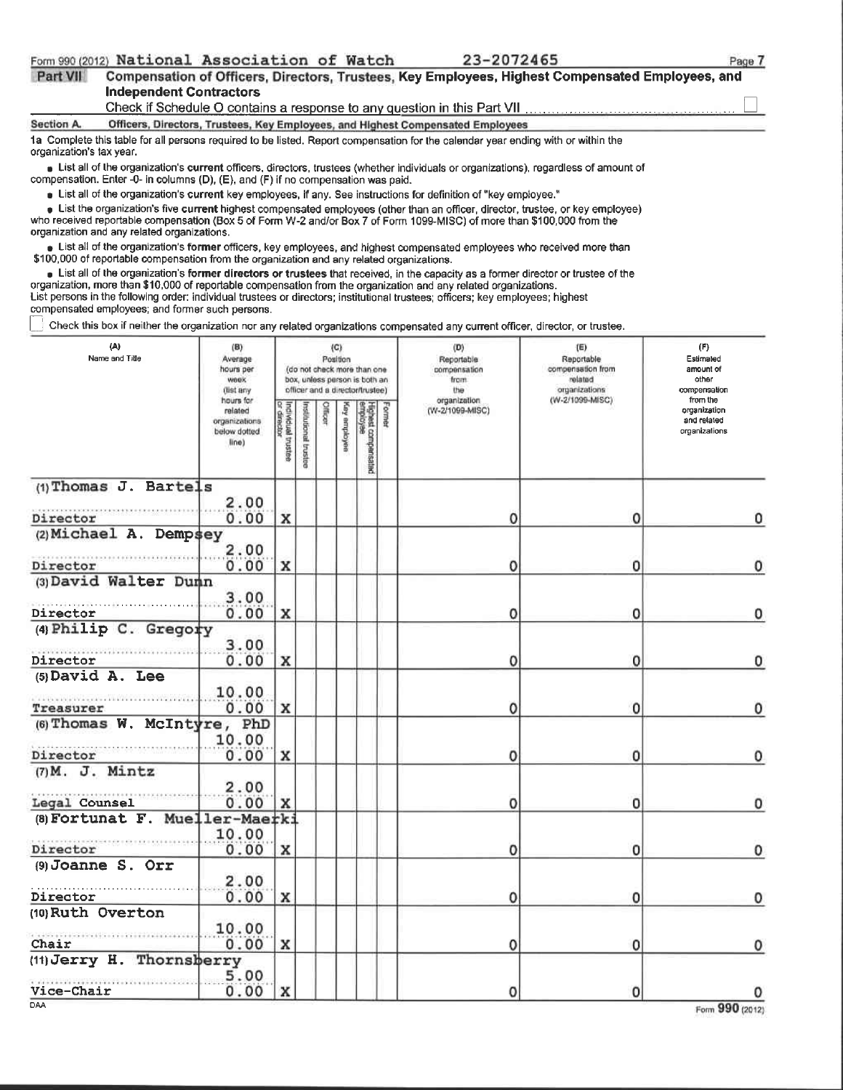|          | Form 990 (2012) National Association of Watch |  | 23-2072465                                                                                       | Pao |
|----------|-----------------------------------------------|--|--------------------------------------------------------------------------------------------------|-----|
| Part VII |                                               |  | Compensation of Officers, Directors, Trustees, Key Employees, Highest Compensated Employees, and |     |
|          | Indonesdest Centrealers                       |  |                                                                                                  |     |

DAA

23-2072465

|                          | Independent Contractors                                                                   |                                     |                                   |                    |         |                     |                                                              |        |                                                                                                                                                                                                                                                                                                                                                                                          |                                                   |                                        |
|--------------------------|-------------------------------------------------------------------------------------------|-------------------------------------|-----------------------------------|--------------------|---------|---------------------|--------------------------------------------------------------|--------|------------------------------------------------------------------------------------------------------------------------------------------------------------------------------------------------------------------------------------------------------------------------------------------------------------------------------------------------------------------------------------------|---------------------------------------------------|----------------------------------------|
|                          |                                                                                           |                                     |                                   |                    |         |                     |                                                              |        | Check if Schedule O contains a response to any question in this Part VII.                                                                                                                                                                                                                                                                                                                |                                                   |                                        |
| <b>Section A.</b>        |                                                                                           |                                     |                                   |                    |         |                     |                                                              |        | Officers, Directors, Trustees, Key Employees, and Highest Compensated Employees<br>1a Complete this table for all persons required to be listed. Report compensation for the calendar year ending with or within the                                                                                                                                                                     |                                                   |                                        |
| organization's tax year. |                                                                                           |                                     |                                   |                    |         |                     |                                                              |        |                                                                                                                                                                                                                                                                                                                                                                                          |                                                   |                                        |
|                          | compensation. Enter -0- in columns (D), (E), and (F) if no compensation was paid.         |                                     |                                   |                    |         |                     |                                                              |        | Explorer interpretent in the organization's current officers, directors, trustees (whether individuals or organizations), regardless of amount of                                                                                                                                                                                                                                        |                                                   |                                        |
|                          |                                                                                           |                                     |                                   |                    |         |                     |                                                              |        | $\bullet$ List all of the organization's current key employees, if any. See instructions for definition of "key employee."                                                                                                                                                                                                                                                               |                                                   |                                        |
|                          | organization and any related organizations.                                               |                                     |                                   |                    |         |                     |                                                              |        | • List the organization's five current highest compensated employees (other than an officer, director, trustee, or key employee)<br>who received reportable compensation (Box 5 of Form W-2 and/or Box 7 of Form 1099-MISC) of more than \$100,000 from the                                                                                                                              |                                                   |                                        |
|                          | \$100,000 of reportable compensation from the organization and any related organizations. |                                     |                                   |                    |         |                     |                                                              |        | Explorer List all of the organization's former officers, key employees, and highest compensated employees who received more than                                                                                                                                                                                                                                                         |                                                   |                                        |
|                          |                                                                                           |                                     |                                   |                    |         |                     |                                                              |        | List all of the organization's former directors or trustees that received, in the capacity as a former director or trustee of the<br>organization, more than \$10,000 of reportable compensation from the organization and any related organizations.<br>List persons in the following order: individual trustees or directors; institutional trustees; officers; key employees; highest |                                                   |                                        |
|                          | compensated employees; and former such persons.                                           |                                     |                                   |                    |         |                     |                                                              |        | Check this box if neither the organization nor any related organizations compensated any current officer, director, or trustee.                                                                                                                                                                                                                                                          |                                                   |                                        |
|                          |                                                                                           |                                     |                                   |                    |         |                     |                                                              |        |                                                                                                                                                                                                                                                                                                                                                                                          |                                                   |                                        |
|                          | (A)<br>Name and Title                                                                     | (B)<br>Average<br>hours per<br>week |                                   |                    |         | $\{C\}$<br>Position | (do not check more than one<br>box, unless person is both an |        | (D)<br>Reportable<br>compensation<br>from                                                                                                                                                                                                                                                                                                                                                | (E)<br>Reportable<br>compensation from<br>related | (F)<br>Estimated<br>amount of<br>other |
|                          |                                                                                           | (list any<br>hours for              |                                   |                    |         |                     | officer and a director/trustee)                              |        | the<br>organization                                                                                                                                                                                                                                                                                                                                                                      | organizations<br>(W-2/1099-MISC)                  | compensation<br>from the               |
|                          |                                                                                           | related                             | Individual trustee<br>or director |                    | Citican |                     | Highest compensated<br>employee                              | Former | (W-2/1099-MISC)                                                                                                                                                                                                                                                                                                                                                                          |                                                   | organization<br>and related            |
|                          |                                                                                           | organizations<br>below dotted       |                                   | <b>Franciscups</b> |         | employee            |                                                              |        |                                                                                                                                                                                                                                                                                                                                                                                          |                                                   | organizations                          |
|                          |                                                                                           | line)                               |                                   | bustee             |         |                     |                                                              |        |                                                                                                                                                                                                                                                                                                                                                                                          |                                                   |                                        |
|                          |                                                                                           |                                     |                                   |                    |         |                     |                                                              |        |                                                                                                                                                                                                                                                                                                                                                                                          |                                                   |                                        |
|                          | (1) Thomas J. Bartels                                                                     | 2.00                                |                                   |                    |         |                     |                                                              |        |                                                                                                                                                                                                                                                                                                                                                                                          |                                                   |                                        |
| Director                 |                                                                                           | 0.00                                | x                                 |                    |         |                     |                                                              |        | 0                                                                                                                                                                                                                                                                                                                                                                                        | 0                                                 | 0                                      |
|                          | (2) Michael A. Dempsey                                                                    |                                     |                                   |                    |         |                     |                                                              |        |                                                                                                                                                                                                                                                                                                                                                                                          |                                                   |                                        |
|                          |                                                                                           | 2.00                                |                                   |                    |         |                     |                                                              |        |                                                                                                                                                                                                                                                                                                                                                                                          |                                                   |                                        |
| Director                 |                                                                                           | 0.00                                | x                                 |                    |         |                     |                                                              |        | 0                                                                                                                                                                                                                                                                                                                                                                                        | 0                                                 | 0                                      |
|                          | (3) David Walter Dunn                                                                     |                                     |                                   |                    |         |                     |                                                              |        |                                                                                                                                                                                                                                                                                                                                                                                          |                                                   |                                        |
|                          |                                                                                           | 3.00                                |                                   |                    |         |                     |                                                              |        |                                                                                                                                                                                                                                                                                                                                                                                          |                                                   |                                        |
| Director                 |                                                                                           | 0.00                                | x                                 |                    |         |                     |                                                              |        | 0                                                                                                                                                                                                                                                                                                                                                                                        | 0                                                 | 0                                      |
|                          | (4) Philip C. Gregory                                                                     |                                     |                                   |                    |         |                     |                                                              |        |                                                                                                                                                                                                                                                                                                                                                                                          |                                                   |                                        |
|                          |                                                                                           | 3.00                                |                                   |                    |         |                     |                                                              |        |                                                                                                                                                                                                                                                                                                                                                                                          |                                                   |                                        |
| Director                 | $(5)$ David A. Lee                                                                        | 0.00                                | x                                 |                    |         |                     |                                                              |        | 0                                                                                                                                                                                                                                                                                                                                                                                        | 0                                                 | 0                                      |
|                          |                                                                                           | 10.00                               |                                   |                    |         |                     |                                                              |        |                                                                                                                                                                                                                                                                                                                                                                                          |                                                   |                                        |
| Treasurer                |                                                                                           | 0.00                                | x                                 |                    |         |                     |                                                              |        |                                                                                                                                                                                                                                                                                                                                                                                          | 0                                                 | 0                                      |
|                          | (6) Thomas W. McIntyre, PhD                                                               |                                     |                                   |                    |         |                     |                                                              |        |                                                                                                                                                                                                                                                                                                                                                                                          |                                                   |                                        |
|                          |                                                                                           | 10.00                               |                                   |                    |         |                     |                                                              |        |                                                                                                                                                                                                                                                                                                                                                                                          |                                                   |                                        |
| Director                 |                                                                                           | 0.00                                | x                                 |                    |         |                     |                                                              |        | 0                                                                                                                                                                                                                                                                                                                                                                                        | 0                                                 | 0                                      |
|                          | $(7)$ M. J. Mintz                                                                         |                                     |                                   |                    |         |                     |                                                              |        |                                                                                                                                                                                                                                                                                                                                                                                          |                                                   |                                        |
|                          |                                                                                           | 2.00                                |                                   |                    |         |                     |                                                              |        |                                                                                                                                                                                                                                                                                                                                                                                          |                                                   |                                        |
| Legal Counsel            | (8) Fortunat F. Mueller-Maerki                                                            | 0.00                                | x                                 |                    |         |                     |                                                              |        | 0                                                                                                                                                                                                                                                                                                                                                                                        | ο                                                 | 0                                      |
|                          |                                                                                           | 10.00                               |                                   |                    |         |                     |                                                              |        |                                                                                                                                                                                                                                                                                                                                                                                          |                                                   |                                        |
| Director                 |                                                                                           | 0.00                                | x                                 |                    |         |                     |                                                              |        | 0                                                                                                                                                                                                                                                                                                                                                                                        | 0                                                 | 0                                      |
|                          | (9) Joanne S. Orr                                                                         |                                     |                                   |                    |         |                     |                                                              |        |                                                                                                                                                                                                                                                                                                                                                                                          |                                                   |                                        |
|                          |                                                                                           | 2.00                                |                                   |                    |         |                     |                                                              |        |                                                                                                                                                                                                                                                                                                                                                                                          |                                                   |                                        |
| Director                 |                                                                                           | 0.00                                | x                                 |                    |         |                     |                                                              |        | 0                                                                                                                                                                                                                                                                                                                                                                                        | 0                                                 | 0                                      |
|                          | (10) Ruth Overton                                                                         |                                     |                                   |                    |         |                     |                                                              |        |                                                                                                                                                                                                                                                                                                                                                                                          |                                                   |                                        |
|                          |                                                                                           | 10.00                               |                                   |                    |         |                     |                                                              |        |                                                                                                                                                                                                                                                                                                                                                                                          |                                                   |                                        |
| Chair                    | (11) Jerry H. Thornsberry                                                                 | 0.00                                | $\mathbf{x}$                      |                    |         |                     |                                                              |        | 0                                                                                                                                                                                                                                                                                                                                                                                        | 0                                                 | 0                                      |
|                          |                                                                                           | 5.00                                |                                   |                    |         |                     |                                                              |        |                                                                                                                                                                                                                                                                                                                                                                                          |                                                   |                                        |
| Vice-Chair               |                                                                                           | 0.00                                | x                                 |                    |         |                     |                                                              |        | 0                                                                                                                                                                                                                                                                                                                                                                                        | 0                                                 | 0                                      |
|                          |                                                                                           |                                     |                                   |                    |         |                     |                                                              |        |                                                                                                                                                                                                                                                                                                                                                                                          |                                                   |                                        |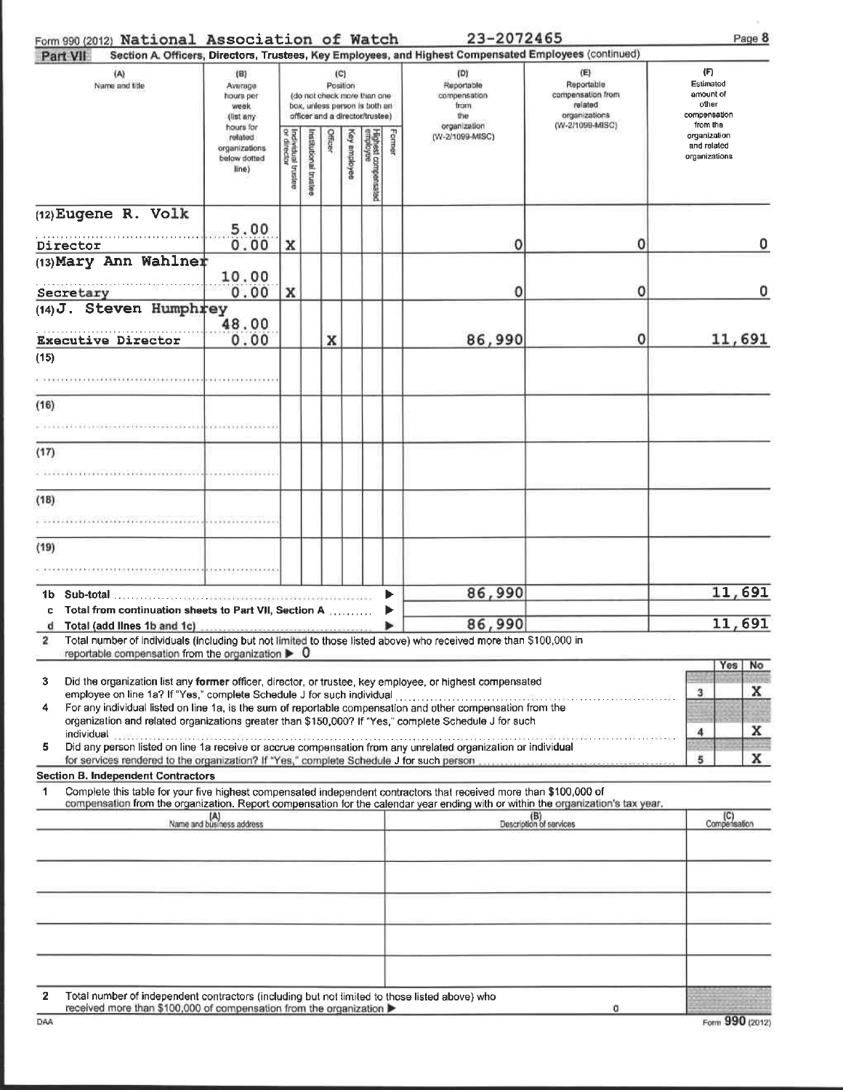## Form 990 (2012) National Association of Watch 23-2072465

| Part VII                                                                                                                                                                                                                                                                                                                                                                                                            |                                                                |                                                                                                                    |                          |         |              |                                 |        | Section A. Officers, Directors, Trustees, Key Employees, and Highest Compensated Employees (continued) |                                                                                       |                                                                    |  |
|---------------------------------------------------------------------------------------------------------------------------------------------------------------------------------------------------------------------------------------------------------------------------------------------------------------------------------------------------------------------------------------------------------------------|----------------------------------------------------------------|--------------------------------------------------------------------------------------------------------------------|--------------------------|---------|--------------|---------------------------------|--------|--------------------------------------------------------------------------------------------------------|---------------------------------------------------------------------------------------|--------------------------------------------------------------------|--|
| (A)<br>Name and title                                                                                                                                                                                                                                                                                                                                                                                               | (B)<br>Average<br>hours per<br>week<br>(list any               | (C)<br>Position<br>(do not check-more than one<br>box, unless person is both an<br>officer and a director/trustee) |                          |         |              |                                 |        | (D)<br>Reportable<br>compensation<br>trum<br>1110<br>organization                                      | (E)<br>Reportable<br>compensation from<br>related<br>organizations<br>(W-2/1099-MISC) | (F)<br>Estimated<br>amount of<br>other<br>compensation<br>from the |  |
|                                                                                                                                                                                                                                                                                                                                                                                                                     | hours for<br>related<br>organizations<br>below dotted<br>line) | Individual trustee<br>or director                                                                                  | histalutional<br>trustee | Officer | key employee | Highest compensated<br>employee | Former | (W-2/1099-MISC)                                                                                        |                                                                                       | organization<br>and related<br>organizations                       |  |
| (12) Eugene R. Volk<br>Director                                                                                                                                                                                                                                                                                                                                                                                     | 5.00<br>0.00                                                   | x                                                                                                                  |                          |         |              |                                 |        | 0                                                                                                      | 0                                                                                     | 0                                                                  |  |
| (13) Mary Ann Wahlner<br>Secretary                                                                                                                                                                                                                                                                                                                                                                                  | 10.00<br>0.00                                                  | x                                                                                                                  |                          |         |              |                                 |        | 0                                                                                                      | 0                                                                                     | о                                                                  |  |
| $(14)$ J. Steven Humphrey                                                                                                                                                                                                                                                                                                                                                                                           | 48.00                                                          |                                                                                                                    |                          |         |              |                                 |        |                                                                                                        |                                                                                       |                                                                    |  |
| <b>Executive Director</b><br>(15)                                                                                                                                                                                                                                                                                                                                                                                   | 0.00                                                           |                                                                                                                    |                          | x       |              |                                 |        | 86,990                                                                                                 | 0                                                                                     | 11,691                                                             |  |
|                                                                                                                                                                                                                                                                                                                                                                                                                     |                                                                |                                                                                                                    |                          |         |              |                                 |        |                                                                                                        |                                                                                       |                                                                    |  |
| (16)                                                                                                                                                                                                                                                                                                                                                                                                                |                                                                |                                                                                                                    |                          |         |              |                                 |        |                                                                                                        |                                                                                       |                                                                    |  |
| (17)                                                                                                                                                                                                                                                                                                                                                                                                                | .                                                              |                                                                                                                    |                          |         |              |                                 |        |                                                                                                        |                                                                                       |                                                                    |  |
| (18)                                                                                                                                                                                                                                                                                                                                                                                                                |                                                                |                                                                                                                    |                          |         |              |                                 |        |                                                                                                        |                                                                                       |                                                                    |  |
| (19)                                                                                                                                                                                                                                                                                                                                                                                                                |                                                                |                                                                                                                    |                          |         |              |                                 |        |                                                                                                        |                                                                                       |                                                                    |  |
|                                                                                                                                                                                                                                                                                                                                                                                                                     |                                                                |                                                                                                                    |                          |         |              |                                 | ▶      | 86,990                                                                                                 |                                                                                       | 11,691                                                             |  |
| Total from continuation sheets to Part VII, Section A<br>c<br>Total (add lines 1b and 1c)<br>d<br>Total number of individuals (including but not limited to those listed above) who received more than \$100,000 in<br>2                                                                                                                                                                                            |                                                                |                                                                                                                    |                          |         |              |                                 | ▶      | 86,990                                                                                                 |                                                                                       | 11,691                                                             |  |
| reportable compensation from the organization $\blacktriangleright$ 0<br>3<br>Did the organization list any former officer, director, or trustee, key employee, or highest compensated<br>For any individual listed on line 1a, is the sum of reportable compensation and other compensation from the<br>4<br>organization and related organizations greater than \$150,000? If "Yes," complete Schedule J for such |                                                                |                                                                                                                    |                          |         |              |                                 |        |                                                                                                        |                                                                                       | Yes<br>No<br>x<br>3<br><b>CATAL</b><br>x<br>4                      |  |
| individual<br>Did any person listed on line 1a receive or accrue compensation from any unrelated organization or individual<br>5                                                                                                                                                                                                                                                                                    |                                                                |                                                                                                                    |                          |         |              |                                 |        |                                                                                                        |                                                                                       | x<br>5                                                             |  |
| <b>Section B. Independent Contractors</b><br>Complete this table for your five highest compensated independent contractors that received more than \$100,000 of<br>1<br>compensation from the organization. Report compensation for the calendar year ending with or within the organization's tax year.                                                                                                            |                                                                |                                                                                                                    |                          |         |              |                                 |        |                                                                                                        |                                                                                       |                                                                    |  |
|                                                                                                                                                                                                                                                                                                                                                                                                                     | (A)<br>Name and business address                               |                                                                                                                    |                          |         |              |                                 |        |                                                                                                        | (B)<br>Description of services                                                        | (C)<br>Compensation                                                |  |
|                                                                                                                                                                                                                                                                                                                                                                                                                     |                                                                |                                                                                                                    |                          |         |              |                                 |        |                                                                                                        |                                                                                       |                                                                    |  |
|                                                                                                                                                                                                                                                                                                                                                                                                                     |                                                                |                                                                                                                    |                          |         |              |                                 |        |                                                                                                        |                                                                                       |                                                                    |  |
|                                                                                                                                                                                                                                                                                                                                                                                                                     |                                                                |                                                                                                                    |                          |         |              |                                 |        |                                                                                                        |                                                                                       |                                                                    |  |
| $\mathbf{2}$<br>Total number of independent contractors (including but not limited to those listed above) who<br>received more than \$100,000 of compensation from the organization ▶                                                                                                                                                                                                                               |                                                                |                                                                                                                    |                          |         |              |                                 |        |                                                                                                        | o                                                                                     |                                                                    |  |